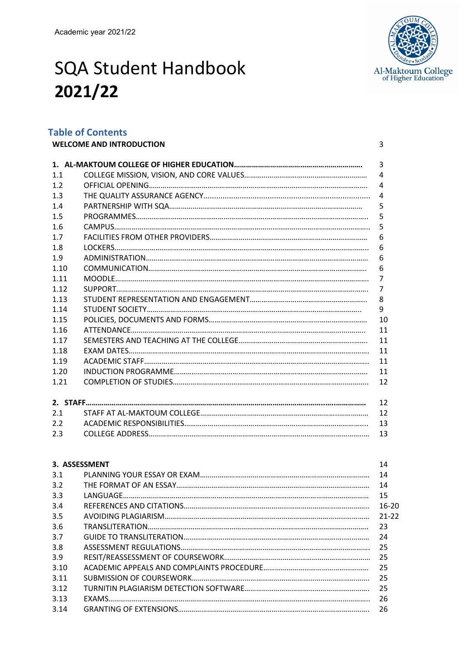

# SQA Student Handbook **2021/22**

# **Table of Contents**

|      | <b>WELCOME AND INTRODUCTION</b> | 3              |
|------|---------------------------------|----------------|
|      |                                 | $\overline{3}$ |
| 1.1  |                                 | 4              |
| 1.2  |                                 | 4              |
| 1.3  |                                 | 4              |
| 1.4  |                                 | 5              |
| 1.5  |                                 | 5              |
| 1.6  |                                 | 5              |
| 1.7  |                                 | 6              |
| 1.8  |                                 | 6              |
| 1.9  |                                 | 6              |
| 1.10 |                                 | 6              |
| 1.11 |                                 | $\overline{7}$ |
| 1.12 |                                 | $\overline{7}$ |
| 1.13 |                                 | 8              |
| 1.14 |                                 | 9              |
| 1.15 |                                 | 10             |
| 1.16 |                                 | 11             |
| 1.17 |                                 | 11             |
| 1.18 |                                 | 11             |
| 1.19 |                                 | 11             |
| 1.20 |                                 | 11             |
| 1.21 |                                 | 12             |
|      |                                 |                |
|      |                                 | 12             |
| 2.1  |                                 | 12             |
| 2.2  |                                 | 13             |
| 2.3  |                                 | 13             |

| 3. ASSESSMENT | 14        |
|---------------|-----------|
| 3.1           | 14        |
| 3.2           | 14        |
| 3.3           | 15        |
| 3.4           | $16 - 20$ |
| 3.5           | $21 - 22$ |
| 3.6           | 23        |
| 3.7           | 24        |
| 3.8           | 25        |
| 3.9           | 25        |
| 3.10          | -25       |
| 3.11          | 25        |
| 3.12          | -25       |
| 3.13          | 26        |
| 3.14          | 26        |
|               |           |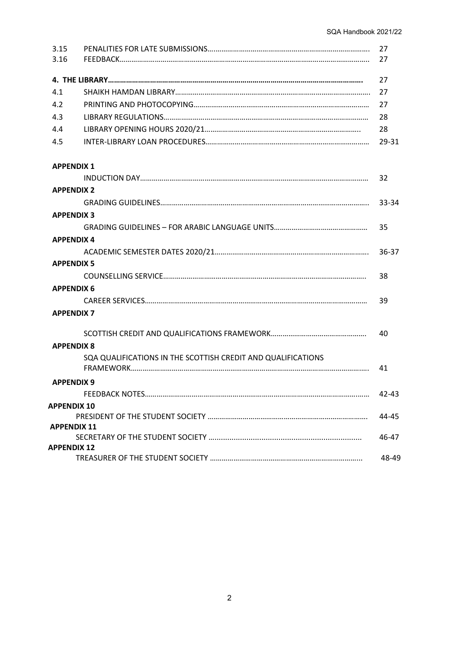| 3.15               |                                                              | 27    |
|--------------------|--------------------------------------------------------------|-------|
| 3.16               |                                                              | 27    |
|                    |                                                              | 27    |
| 4.1                |                                                              | 27    |
| 4.2                |                                                              | 27    |
| 4.3                |                                                              | 28    |
| 4.4                |                                                              | 28    |
| 4.5                |                                                              | 29-31 |
| <b>APPENDIX 1</b>  |                                                              |       |
|                    |                                                              | 32    |
| <b>APPENDIX 2</b>  |                                                              |       |
|                    |                                                              | 33-34 |
| <b>APPENDIX 3</b>  |                                                              |       |
|                    |                                                              | 35    |
| <b>APPENDIX 4</b>  |                                                              |       |
|                    |                                                              | 36-37 |
| <b>APPENDIX 5</b>  |                                                              |       |
|                    |                                                              | 38    |
| <b>APPENDIX 6</b>  |                                                              |       |
|                    |                                                              | 39    |
| <b>APPENDIX 7</b>  |                                                              |       |
|                    |                                                              | 40    |
| <b>APPENDIX 8</b>  |                                                              |       |
|                    | SQA QUALIFICATIONS IN THE SCOTTISH CREDIT AND QUALIFICATIONS | 41    |
| <b>APPENDIX 9</b>  |                                                              |       |
|                    |                                                              | 42-43 |
| <b>APPENDIX 10</b> |                                                              |       |
|                    |                                                              | 44-45 |
| <b>APPENDIX 11</b> |                                                              |       |
| <b>APPENDIX 12</b> |                                                              | 46-47 |
|                    |                                                              | 48-49 |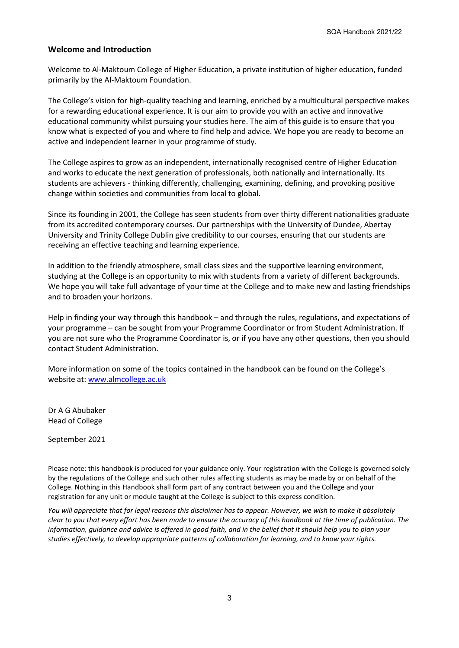## **Welcome and Introduction**

Welcome to Al-Maktoum College of Higher Education, a private institution of higher education, funded primarily by the Al-Maktoum Foundation.

The College's vision for high-quality teaching and learning, enriched by a multicultural perspective makes for a rewarding educational experience. It is our aim to provide you with an active and innovative educational community whilst pursuing your studies here. The aim of this guide is to ensure that you know what is expected of you and where to find help and advice. We hope you are ready to become an active and independent learner in your programme of study.

The College aspires to grow as an independent, internationally recognised centre of Higher Education and works to educate the next generation of professionals, both nationally and internationally. Its students are achievers - thinking differently, challenging, examining, defining, and provoking positive change within societies and communities from local to global.

Since its founding in 2001, the College has seen students from over thirty different nationalities graduate from its accredited contemporary courses. Our partnerships with the University of Dundee, Abertay University and Trinity College Dublin give credibility to our courses, ensuring that our students are receiving an effective teaching and learning experience.

In addition to the friendly atmosphere, small class sizes and the supportive learning environment, studying at the College is an opportunity to mix with students from a variety of different backgrounds. We hope you will take full advantage of your time at the College and to make new and lasting friendships and to broaden your horizons.

Help in finding your way through this handbook – and through the rules, regulations, and expectations of your programme – can be sought from your Programme Coordinator or from Student Administration. If you are not sure who the Programme Coordinator is, or if you have any other questions, then you should contact Student Administration.

More information on some of the topics contained in the handbook can be found on the College's website at: [www.almcollege.ac.uk](http://www.almcollege.ac.uk/)

Dr A G Abubaker Head of College

September 2021

Please note: this handbook is produced for your guidance only. Your registration with the College is governed solely by the regulations of the College and such other rules affecting students as may be made by or on behalf of the College. Nothing in this Handbook shall form part of any contract between you and the College and your registration for any unit or module taught at the College is subject to this express condition.

*You will appreciate that for legal reasons this disclaimer has to appear. However, we wish to make it absolutely clear to you that every effort has been made to ensure the accuracy of this handbook at the time of publication. The information, guidance and advice is offered in good faith, and in the belief that it should help you to plan your studies effectively, to develop appropriate patterns of collaboration for learning, and to know your rights.*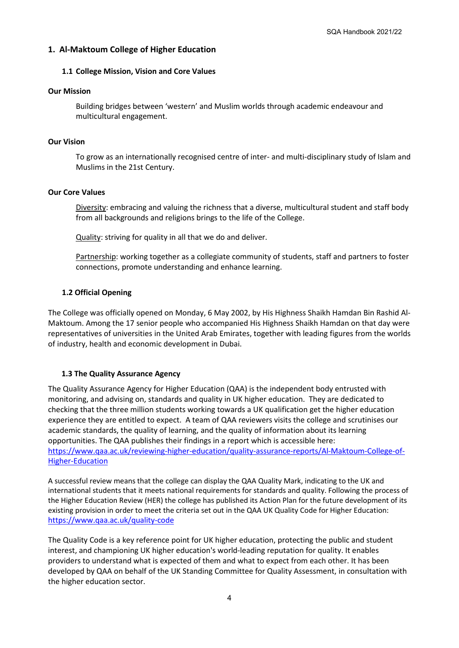## **1. Al-Maktoum College of Higher Education**

#### **1.1 College Mission, Vision and Core Values**

#### **Our Mission**

Building bridges between 'western' and Muslim worlds through academic endeavour and multicultural engagement.

#### **Our Vision**

To grow as an internationally recognised centre of inter- and multi-disciplinary study of Islam and Muslims in the 21st Century.

#### **Our Core Values**

Diversity: embracing and valuing the richness that a diverse, multicultural student and staff body from all backgrounds and religions brings to the life of the College.

Quality: striving for quality in all that we do and deliver.

Partnership: working together as a collegiate community of students, staff and partners to foster connections, promote understanding and enhance learning.

### **1.2 Official Opening**

The College was officially opened on Monday, 6 May 2002, by His Highness Shaikh Hamdan Bin Rashid Al-Maktoum. Among the 17 senior people who accompanied His Highness Shaikh Hamdan on that day were representatives of universities in the United Arab Emirates, together with leading figures from the worlds of industry, health and economic development in Dubai.

### **1.3 The Quality Assurance Agency**

The Quality Assurance Agency for Higher Education (QAA) is the independent body entrusted with monitoring, and advising on, standards and quality in UK higher education. They are dedicated to checking that the three million students working towards a UK qualification get the higher education experience they are entitled to expect. A team of QAA reviewers visits the college and scrutinises our academic standards, the quality of learning, and the quality of information about its learning opportunities. The QAA publishes their findings in a report which is accessible here: [https://www.qaa.ac.uk/reviewing-higher-education/quality-assurance-reports/Al-Maktoum-College-of-](https://www.qaa.ac.uk/reviewing-higher-education/quality-assurance-reports/Al-Maktoum-College-of-Higher-Education)[Higher-Education](https://www.qaa.ac.uk/reviewing-higher-education/quality-assurance-reports/Al-Maktoum-College-of-Higher-Education)

A successful review means that the college can display the QAA Quality Mark, indicating to the UK and international students that it meets national requirements for standards and quality. Following the process of the Higher Education Review (HER) the college has published its Action Plan for the future development of its existing provision in order to meet the criteria set out in the QAA UK Quality Code for Higher Education: <https://www.qaa.ac.uk/quality-code>

The Quality Code is a key reference point for UK higher education, protecting the public and student interest, and championing UK higher education's world-leading reputation for quality. It enables providers to understand what is expected of them and what to expect from each other. It has been developed by QAA on behalf of the UK Standing Committee for Quality Assessment, in consultation with the higher education sector.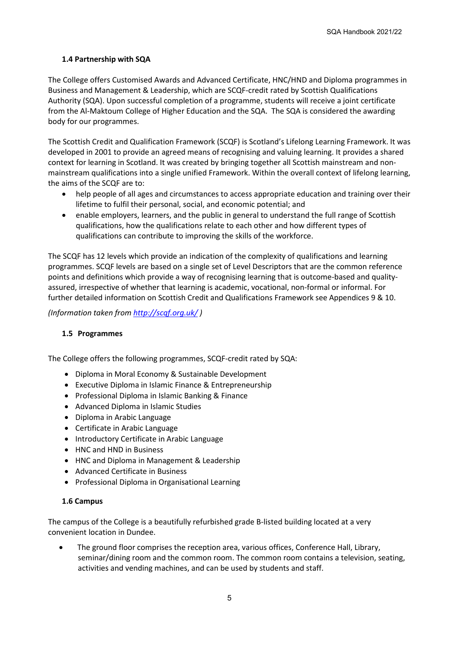## **1.4 Partnership with SQA**

The College offers Customised Awards and Advanced Certificate, HNC/HND and Diploma programmes in Business and Management & Leadership, which are SCQF-credit rated by Scottish Qualifications Authority (SQA). Upon successful completion of a programme, students will receive a joint certificate from the Al-Maktoum College of Higher Education and the SQA. The SQA is considered the awarding body for our programmes.

The Scottish Credit and Qualification Framework (SCQF) is Scotland's Lifelong Learning Framework. It was developed in 2001 to provide an agreed means of recognising and valuing learning. It provides a shared context for learning in Scotland. It was created by bringing together all Scottish mainstream and nonmainstream qualifications into a single unified Framework. Within the overall context of lifelong learning, the aims of the SCQF are to:

- help people of all ages and circumstances to access appropriate education and training over their lifetime to fulfil their personal, social, and economic potential; and
- enable employers, learners, and the public in general to understand the full range of Scottish qualifications, how the qualifications relate to each other and how different types of qualifications can contribute to improving the skills of the workforce.

The SCQF has 12 levels which provide an indication of the complexity of qualifications and learning programmes. SCQF levels are based on a single set of Level Descriptors that are the common reference points and definitions which provide a way of recognising learning that is outcome-based and qualityassured, irrespective of whether that learning is academic, vocational, non-formal or informal. For further detailed information on Scottish Credit and Qualifications Framework see Appendices 9 & 10.

*(Information taken from<http://scqf.org.uk/> )*

## **1.5 Programmes**

The College offers the following programmes, SCQF-credit rated by SQA:

- Diploma in Moral Economy & Sustainable Development
- Executive Diploma in Islamic Finance & Entrepreneurship
- Professional Diploma in Islamic Banking & Finance
- Advanced Diploma in Islamic Studies
- Diploma in Arabic Language
- Certificate in Arabic Language
- Introductory Certificate in Arabic Language
- HNC and HND in Business
- HNC and Diploma in Management & Leadership
- Advanced Certificate in Business
- Professional Diploma in Organisational Learning

### **1.6 Campus**

The campus of the College is a beautifully refurbished grade B-listed building located at a very convenient location in Dundee.

• The ground floor comprises the reception area, various offices, Conference Hall, Library, seminar/dining room and the common room. The common room contains a television, seating, activities and vending machines, and can be used by students and staff.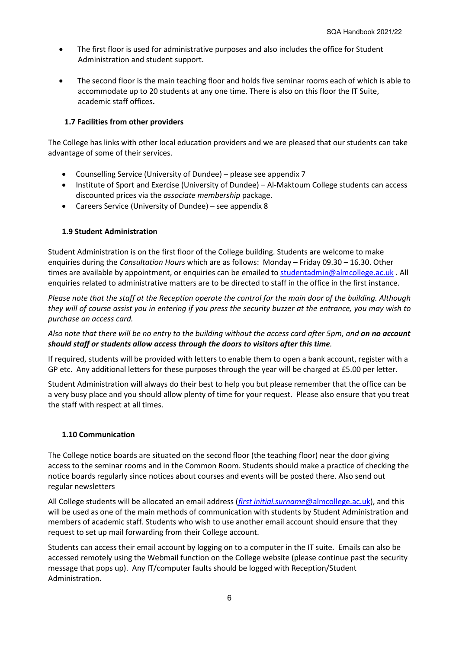- The first floor is used for administrative purposes and also includes the office for Student Administration and student support.
- The second floor is the main teaching floor and holds five seminar rooms each of which is able to accommodate up to 20 students at any one time. There is also on this floor the IT Suite, academic staff offices**.**

## **1.7 Facilities from other providers**

The College has links with other local education providers and we are pleased that our students can take advantage of some of their services.

- Counselling Service (University of Dundee) please see appendix 7
- Institute of Sport and Exercise (University of Dundee) Al-Maktoum College students can access discounted prices via the *associate membership* package.
- Careers Service (University of Dundee) see appendix 8

## **1.9 Student Administration**

Student Administration is on the first floor of the College building. Students are welcome to make enquiries during the *Consultation Hours* which are as follows: Monday – Friday 09.30 – 16.30. Other times are available by appointment, or enquiries can be emailed to [studentadmin@almcollege.ac.uk](mailto:studentadmin@almcollege.ac.uk). All enquiries related to administrative matters are to be directed to staff in the office in the first instance.

*Please note that the staff at the Reception operate the control for the main door of the building. Although they will of course assist you in entering if you press the security buzzer at the entrance, you may wish to purchase an access card.* 

*Also note that there will be no entry to the building without the access card after 5pm, and on no account should staff or students allow access through the doors to visitors after this time.*

If required, students will be provided with letters to enable them to open a bank account, register with a GP etc. Any additional letters for these purposes through the year will be charged at £5.00 per letter.

Student Administration will always do their best to help you but please remember that the office can be a very busy place and you should allow plenty of time for your request. Please also ensure that you treat the staff with respect at all times.

### **1.10 Communication**

The College notice boards are situated on the second floor (the teaching floor) near the door giving access to the seminar rooms and in the Common Room. Students should make a practice of checking the notice boards regularly since notices about courses and events will be posted there. Also send out regular newsletters

All College students will be allocated an email address (*first initial.surname*[@almcollege.ac.uk\)](mailto:first%20initial.surname@almcollege.ac.uk), and this will be used as one of the main methods of communication with students by Student Administration and members of academic staff. Students who wish to use another email account should ensure that they request to set up mail forwarding from their College account.

Students can access their email account by logging on to a computer in the IT suite. Emails can also be accessed remotely using the Webmail function on the College website (please continue past the security message that pops up). Any IT/computer faults should be logged with Reception/Student Administration.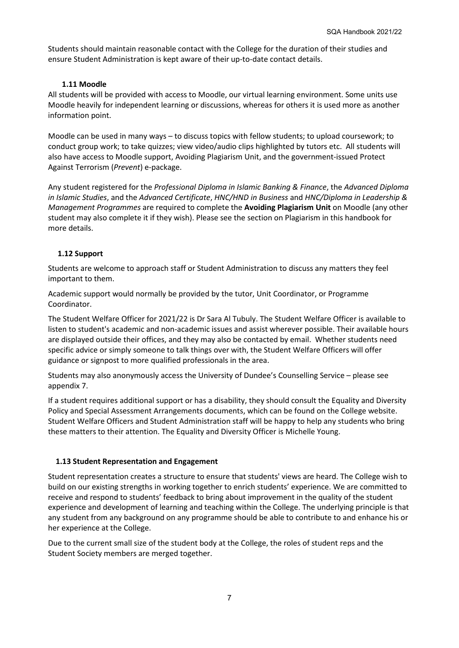Students should maintain reasonable contact with the College for the duration of their studies and ensure Student Administration is kept aware of their up-to-date contact details.

## **1.11 Moodle**

All students will be provided with access to Moodle, our virtual learning environment. Some units use Moodle heavily for independent learning or discussions, whereas for others it is used more as another information point.

Moodle can be used in many ways – to discuss topics with fellow students; to upload coursework; to conduct group work; to take quizzes; view video/audio clips highlighted by tutors etc. All students will also have access to Moodle support, Avoiding Plagiarism Unit, and the government-issued Protect Against Terrorism (*Prevent*) e-package.

Any student registered for the *Professional Diploma in Islamic Banking & Finance*, the *Advanced Diploma in Islamic Studies*, and the *Advanced Certificate*, *HNC/HND in Business* and *HNC/Diploma in Leadership & Management Programmes* are required to complete the **Avoiding Plagiarism Unit** on Moodle (any other student may also complete it if they wish). Please see the section on Plagiarism in this handbook for more details.

## **1.12 Support**

Students are welcome to approach staff or Student Administration to discuss any matters they feel important to them.

Academic support would normally be provided by the tutor, Unit Coordinator, or Programme Coordinator.

The Student Welfare Officer for 2021/22 is Dr Sara Al Tubuly. The Student Welfare Officer is available to listen to student's academic and non-academic issues and assist wherever possible. Their available hours are displayed outside their offices, and they may also be contacted by email. Whether students need specific advice or simply someone to talk things over with, the Student Welfare Officers will offer guidance or signpost to more qualified professionals in the area.

Students may also anonymously access the University of Dundee's Counselling Service – please see appendix 7.

If a student requires additional support or has a disability, they should consult the Equality and Diversity Policy and Special Assessment Arrangements documents, which can be found on the College website. Student Welfare Officers and Student Administration staff will be happy to help any students who bring these matters to their attention. The Equality and Diversity Officer is Michelle Young.

## **1.13 Student Representation and Engagement**

Student representation creates a structure to ensure that students' views are heard. The College wish to build on our existing strengths in working together to enrich students' experience. We are committed to receive and respond to students' feedback to bring about improvement in the quality of the student experience and development of learning and teaching within the College. The underlying principle is that any student from any background on any programme should be able to contribute to and enhance his or her experience at the College.

Due to the current small size of the student body at the College, the roles of student reps and the Student Society members are merged together.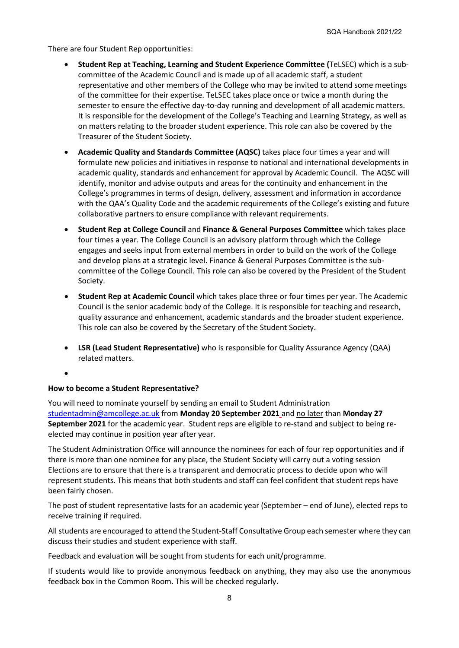There are four Student Rep opportunities:

- **Student Rep at Teaching, Learning and Student Experience Committee (**TeLSEC) which is a subcommittee of the Academic Council and is made up of all academic staff, a student representative and other members of the College who may be invited to attend some meetings of the committee for their expertise. TeLSEC takes place once or twice a month during the semester to ensure the effective day-to-day running and development of all academic matters. It is responsible for the development of the College's Teaching and Learning Strategy, as well as on matters relating to the broader student experience. This role can also be covered by the Treasurer of the Student Society.
- **Academic Quality and Standards Committee (AQSC)** takes place four times a year and will formulate new policies and initiatives in response to national and international developments in academic quality, standards and enhancement for approval by Academic Council. The AQSC will identify, monitor and advise outputs and areas for the continuity and enhancement in the College's programmes in terms of design, delivery, assessment and information in accordance with the QAA's Quality Code and the academic requirements of the College's existing and future collaborative partners to ensure compliance with relevant requirements.
- **Student Rep at College Council** and **Finance & General Purposes Committee** which takes place four times a year. The College Council is an advisory platform through which the College engages and seeks input from external members in order to build on the work of the College and develop plans at a strategic level. Finance & General Purposes Committee is the subcommittee of the College Council. This role can also be covered by the President of the Student Society.
- **Student Rep at Academic Council** which takes place three or four times per year. The Academic Council is the senior academic body of the College. It is responsible for teaching and research, quality assurance and enhancement, academic standards and the broader student experience. This role can also be covered by the Secretary of the Student Society.
- **LSR (Lead Student Representative)** who is responsible for Quality Assurance Agency (QAA) related matters.

•

## **How to become a Student Representative?**

You will need to nominate yourself by sending an email to Student Administration [studentadmin@amcollege.ac.uk](mailto:studentadmin@amcollege.ac.uk) from **Monday 20 September 2021** and no later than **Monday 27 September 2021** for the academic year.Student reps are eligible to re-stand and subject to being reelected may continue in position year after year.

The Student Administration Office will announce the nominees for each of four rep opportunities and if there is more than one nominee for any place, the Student Society will carry out a voting session Elections are to ensure that there is a transparent and democratic process to decide upon who will represent students. This means that both students and staff can feel confident that student reps have been fairly chosen.

The post of student representative lasts for an academic year (September – end of June), elected reps to receive training if required.

All students are encouraged to attend the Student-Staff Consultative Group each semester where they can discuss their studies and student experience with staff.

Feedback and evaluation will be sought from students for each unit/programme.

If students would like to provide anonymous feedback on anything, they may also use the anonymous feedback box in the Common Room. This will be checked regularly.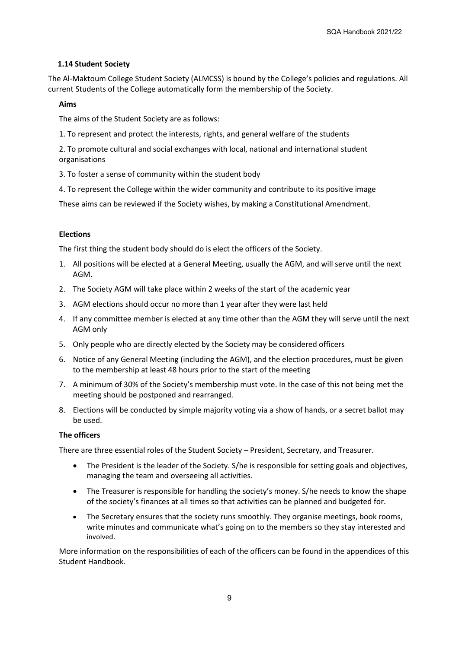## **1.14 Student Society**

The Al-Maktoum College Student Society (ALMCSS) is bound by the College's policies and regulations. All current Students of the College automatically form the membership of the Society.

## **Aims**

The aims of the Student Society are as follows:

1. To represent and protect the interests, rights, and general welfare of the students

2. To promote cultural and social exchanges with local, national and international student organisations

3. To foster a sense of community within the student body

4. To represent the College within the wider community and contribute to its positive image

These aims can be reviewed if the Society wishes, by making a Constitutional Amendment.

### **Elections**

The first thing the student body should do is elect the officers of the Society.

- 1. All positions will be elected at a General Meeting, usually the AGM, and will serve until the next AGM.
- 2. The Society AGM will take place within 2 weeks of the start of the academic year
- 3. AGM elections should occur no more than 1 year after they were last held
- 4. If any committee member is elected at any time other than the AGM they will serve until the next AGM only
- 5. Only people who are directly elected by the Society may be considered officers
- 6. Notice of any General Meeting (including the AGM), and the election procedures, must be given to the membership at least 48 hours prior to the start of the meeting
- 7. A minimum of 30% of the Society's membership must vote. In the case of this not being met the meeting should be postponed and rearranged.
- 8. Elections will be conducted by simple majority voting via a show of hands, or a secret ballot may be used.

## **The officers**

There are three essential roles of the Student Society – President, Secretary, and Treasurer.

- The President is the leader of the Society. S/he is responsible for setting goals and objectives, managing the team and overseeing all activities.
- The Treasurer is responsible for handling the society's money. S/he needs to know the shape of the society's finances at all times so that activities can be planned and budgeted for.
- The Secretary ensures that the society runs smoothly. They organise meetings, book rooms, write minutes and communicate what's going on to the members so they stay interested and involved.

More information on the responsibilities of each of the officers can be found in the appendices of this Student Handbook.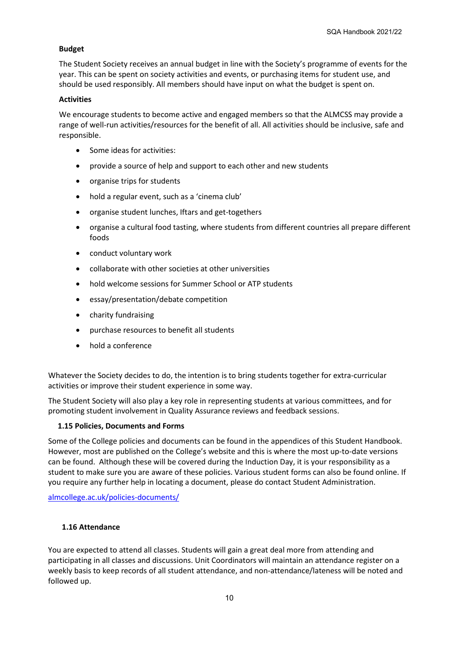## **Budget**

The Student Society receives an annual budget in line with the Society's programme of events for the year. This can be spent on society activities and events, or purchasing items for student use, and should be used responsibly. All members should have input on what the budget is spent on.

### **Activities**

We encourage students to become active and engaged members so that the ALMCSS may provide a range of well-run activities/resources for the benefit of all. All activities should be inclusive, safe and responsible.

- Some ideas for activities:
- provide a source of help and support to each other and new students
- organise trips for students
- hold a regular event, such as a 'cinema club'
- organise student lunches, Iftars and get-togethers
- organise a cultural food tasting, where students from different countries all prepare different foods
- conduct voluntary work
- collaborate with other societies at other universities
- hold welcome sessions for Summer School or ATP students
- essay/presentation/debate competition
- charity fundraising
- purchase resources to benefit all students
- hold a conference

Whatever the Society decides to do, the intention is to bring students together for extra-curricular activities or improve their student experience in some way.

The Student Society will also play a key role in representing students at various committees, and for promoting student involvement in Quality Assurance reviews and feedback sessions.

### **1.15 Policies, Documents and Forms**

Some of the College policies and documents can be found in the appendices of this Student Handbook. However, most are published on the College's website and this is where the most up-to-date versions can be found. Although these will be covered during the Induction Day, it is your responsibility as a student to make sure you are aware of these policies. Various student forms can also be found online. If you require any further help in locating a document, please do contact Student Administration.

[almcollege.ac.uk/policies-documents/](https://www.almcollege.ac.uk/policies-documents/)

### **1.16 Attendance**

You are expected to attend all classes. Students will gain a great deal more from attending and participating in all classes and discussions. Unit Coordinators will maintain an attendance register on a weekly basis to keep records of all student attendance, and non-attendance/lateness will be noted and followed up.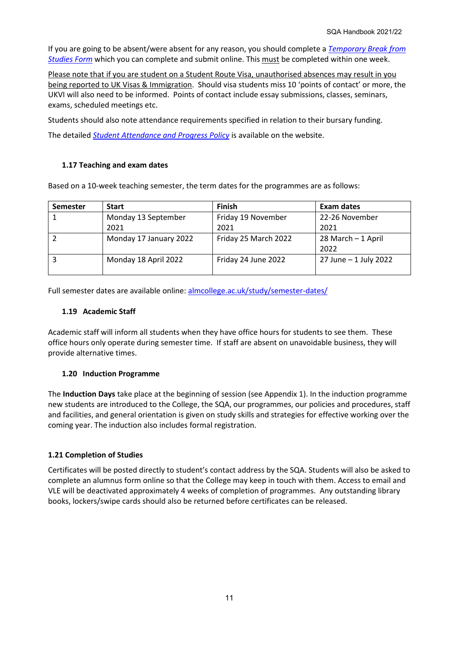If you are going to be absent/were absent for any reason, you should complete a *[Temporary Break from](https://www.almcollege.ac.uk/student-resources/student-forms/)  [Studies Form](https://www.almcollege.ac.uk/student-resources/student-forms/)* which you can complete and submit online. This must be completed within one week.

Please note that if you are student on a Student Route Visa, unauthorised absences may result in you being reported to UK Visas & Immigration. Should visa students miss 10 'points of contact' or more, the UKVI will also need to be informed. Points of contact include essay submissions, classes, seminars, exams, scheduled meetings etc.

Students should also note attendance requirements specified in relation to their bursary funding.

The detailed *[Student Attendance and Progress Policy](https://www.almcollege.ac.uk/policies-documents/)* is available on the website.

## **1.17 Teaching and exam dates**

Based on a 10-week teaching semester, the term dates for the programmes are as follows:

| <b>Semester</b> | <b>Start</b>           | <b>Finish</b>        | <b>Exam dates</b>     |
|-----------------|------------------------|----------------------|-----------------------|
|                 | Monday 13 September    | Friday 19 November   | 22-26 November        |
|                 | 2021                   | 2021                 | 2021                  |
|                 | Monday 17 January 2022 | Friday 25 March 2022 | 28 March - 1 April    |
|                 |                        |                      | 2022                  |
|                 | Monday 18 April 2022   | Friday 24 June 2022  | 27 June - 1 July 2022 |
|                 |                        |                      |                       |

Full semester dates are available online: [almcollege.ac.uk/study/semester-dates/](https://www.almcollege.ac.uk/study/semester-dates/)

## **1.19 Academic Staff**

Academic staff will inform all students when they have office hours for students to see them. These office hours only operate during semester time. If staff are absent on unavoidable business, they will provide alternative times.

## **1.20 Induction Programme**

The **Induction Days** take place at the beginning of session (see Appendix 1). In the induction programme new students are introduced to the College, the SQA, our programmes, our policies and procedures, staff and facilities, and general orientation is given on study skills and strategies for effective working over the coming year. The induction also includes formal registration.

## **1.21 Completion of Studies**

Certificates will be posted directly to student's contact address by the SQA. Students will also be asked to complete an alumnus form online so that the College may keep in touch with them. Access to email and VLE will be deactivated approximately 4 weeks of completion of programmes. Any outstanding library books, lockers/swipe cards should also be returned before certificates can be released.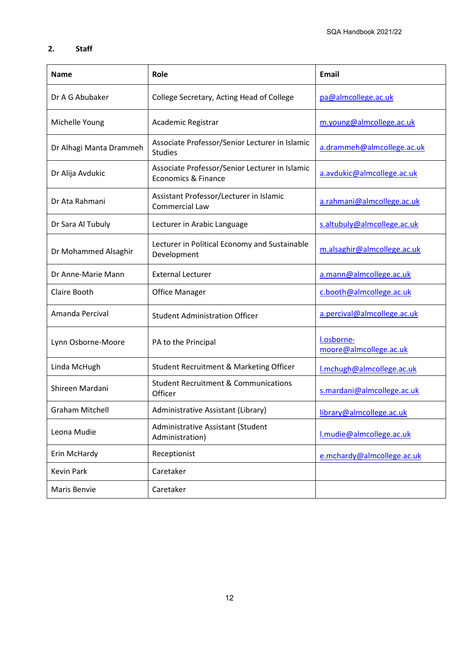## **2. Staff**

| <b>Name</b>             | Role                                                                  | <b>Email</b>                         |
|-------------------------|-----------------------------------------------------------------------|--------------------------------------|
| Dr A G Abubaker         | College Secretary, Acting Head of College                             |                                      |
| Michelle Young          | Academic Registrar                                                    | m.young@almcollege.ac.uk             |
| Dr Alhagi Manta Drammeh | Associate Professor/Senior Lecturer in Islamic<br><b>Studies</b>      | a.drammeh@almcollege.ac.uk           |
| Dr Alija Avdukic        | Associate Professor/Senior Lecturer in Islamic<br>Economics & Finance | a.avdukic@almcollege.ac.uk           |
| Dr Ata Rahmani          | Assistant Professor/Lecturer in Islamic<br>Commercial Law             | a.rahmani@almcollege.ac.uk           |
| Dr Sara Al Tubuly       | Lecturer in Arabic Language                                           | s.altubuly@almcollege.ac.uk          |
| Dr Mohammed Alsaghir    | Lecturer in Political Economy and Sustainable<br>Development          | m.alsaghir@almcollege.ac.uk          |
| Dr Anne-Marie Mann      | <b>External Lecturer</b>                                              | a.mann@almcollege.ac.uk              |
| Claire Booth            | <b>Office Manager</b>                                                 | c.booth@almcollege.ac.uk             |
| Amanda Percival         | <b>Student Administration Officer</b>                                 | a.percival@almcollege.ac.uk          |
| Lynn Osborne-Moore      | PA to the Principal                                                   | l.osborne-<br>moore@almcollege.ac.uk |
| Linda McHugh            | Student Recruitment & Marketing Officer                               | I.mchugh@almcollege.ac.uk            |
| Shireen Mardani         | <b>Student Recruitment &amp; Communications</b><br>Officer            | s.mardani@almcollege.ac.uk           |
| <b>Graham Mitchell</b>  | Administrative Assistant (Library)                                    | library@almcollege.ac.uk             |
| Leona Mudie             | Administrative Assistant (Student<br>Administration)                  | I.mudie@almcollege.ac.uk             |
| Erin McHardy            | Receptionist                                                          | e.mchardy@almcollege.ac.uk           |
| Kevin Park              | Caretaker                                                             |                                      |
| Maris Benvie            | Caretaker                                                             |                                      |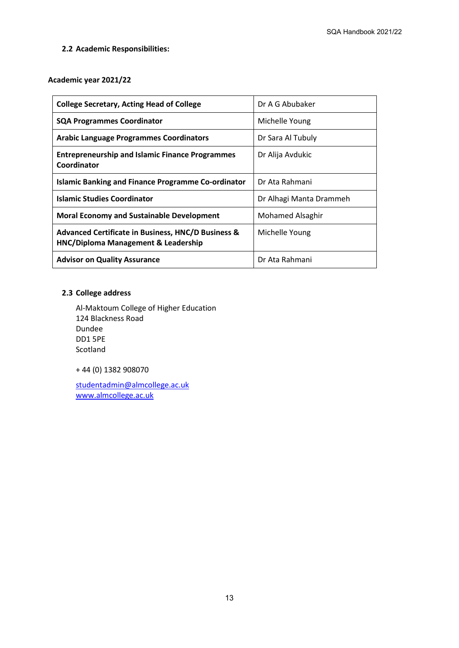## **2.2 Academic Responsibilities:**

### **Academic year 2021/22**

| <b>College Secretary, Acting Head of College</b>                                                     | Dr A G Abubaker         |
|------------------------------------------------------------------------------------------------------|-------------------------|
| <b>SQA Programmes Coordinator</b>                                                                    | Michelle Young          |
| <b>Arabic Language Programmes Coordinators</b>                                                       | Dr Sara Al Tubuly       |
| <b>Entrepreneurship and Islamic Finance Programmes</b><br>Coordinator                                | Dr Alija Avdukic        |
| <b>Islamic Banking and Finance Programme Co-ordinator</b>                                            | Dr Ata Rahmani          |
| <b>Islamic Studies Coordinator</b>                                                                   | Dr Alhagi Manta Drammeh |
| <b>Moral Economy and Sustainable Development</b>                                                     | <b>Mohamed Alsaghir</b> |
| <b>Advanced Certificate in Business, HNC/D Business &amp;</b><br>HNC/Diploma Management & Leadership | Michelle Young          |
| <b>Advisor on Quality Assurance</b>                                                                  | Dr Ata Rahmani          |

## **2.3 College address**

Al-Maktoum College of Higher Education 124 Blackness Road Dundee DD1 5PE Scotland

+ 44 (0) 1382 908070

[studentadmin@almcollege.ac.uk](mailto:studentadmin@almcollege.ac.uk) [www.almcollege.ac.uk](http://www.almcollege.ac.uk/)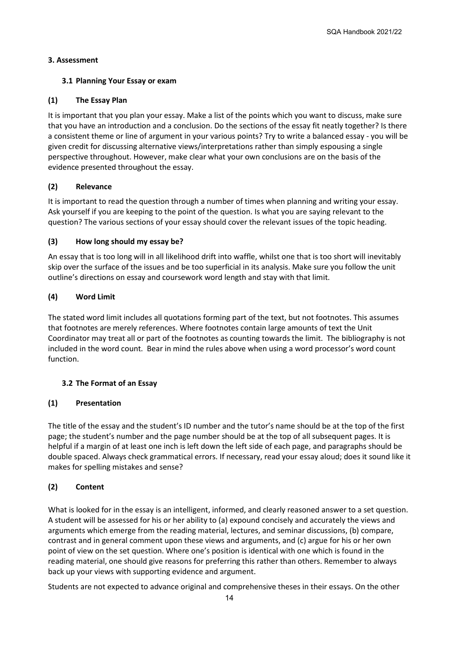## **3. Assessment**

## **3.1 Planning Your Essay or exam**

## **(1) The Essay Plan**

It is important that you plan your essay. Make a list of the points which you want to discuss, make sure that you have an introduction and a conclusion. Do the sections of the essay fit neatly together? Is there a consistent theme or line of argument in your various points? Try to write a balanced essay - you will be given credit for discussing alternative views/interpretations rather than simply espousing a single perspective throughout. However, make clear what your own conclusions are on the basis of the evidence presented throughout the essay.

## **(2) Relevance**

It is important to read the question through a number of times when planning and writing your essay. Ask yourself if you are keeping to the point of the question. Is what you are saying relevant to the question? The various sections of your essay should cover the relevant issues of the topic heading.

## **(3) How long should my essay be?**

An essay that is too long will in all likelihood drift into waffle, whilst one that is too short will inevitably skip over the surface of the issues and be too superficial in its analysis. Make sure you follow the unit outline's directions on essay and coursework word length and stay with that limit.

## **(4) Word Limit**

The stated word limit includes all quotations forming part of the text, but not footnotes. This assumes that footnotes are merely references. Where footnotes contain large amounts of text the Unit Coordinator may treat all or part of the footnotes as counting towards the limit. The bibliography is not included in the word count. Bear in mind the rules above when using a word processor's word count function.

## **3.2 The Format of an Essay**

## **(1) Presentation**

The title of the essay and the student's ID number and the tutor's name should be at the top of the first page; the student's number and the page number should be at the top of all subsequent pages. It is helpful if a margin of at least one inch is left down the left side of each page, and paragraphs should be double spaced. Always check grammatical errors. If necessary, read your essay aloud; does it sound like it makes for spelling mistakes and sense?

## **(2) Content**

What is looked for in the essay is an intelligent, informed, and clearly reasoned answer to a set question. A student will be assessed for his or her ability to (a) expound concisely and accurately the views and arguments which emerge from the reading material, lectures, and seminar discussions, (b) compare, contrast and in general comment upon these views and arguments, and (c) argue for his or her own point of view on the set question. Where one's position is identical with one which is found in the reading material, one should give reasons for preferring this rather than others. Remember to always back up your views with supporting evidence and argument.

Students are not expected to advance original and comprehensive theses in their essays. On the other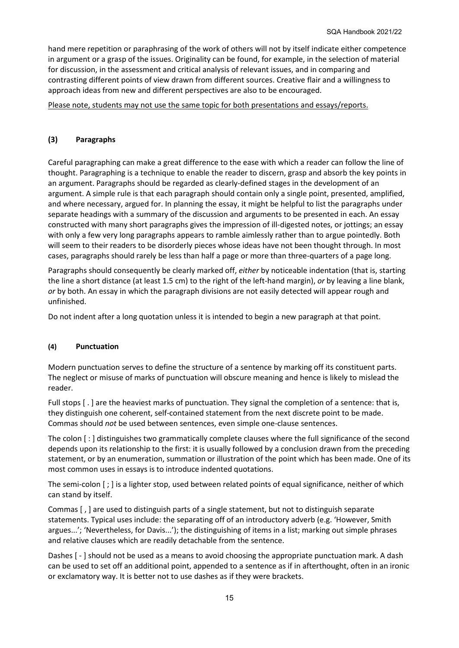hand mere repetition or paraphrasing of the work of others will not by itself indicate either competence in argument or a grasp of the issues. Originality can be found, for example, in the selection of material for discussion, in the assessment and critical analysis of relevant issues, and in comparing and contrasting different points of view drawn from different sources. Creative flair and a willingness to approach ideas from new and different perspectives are also to be encouraged.

Please note, students may not use the same topic for both presentations and essays/reports.

## **(3) Paragraphs**

Careful paragraphing can make a great difference to the ease with which a reader can follow the line of thought. Paragraphing is a technique to enable the reader to discern, grasp and absorb the key points in an argument. Paragraphs should be regarded as clearly-defined stages in the development of an argument. A simple rule is that each paragraph should contain only a single point, presented, amplified, and where necessary, argued for. In planning the essay, it might be helpful to list the paragraphs under separate headings with a summary of the discussion and arguments to be presented in each. An essay constructed with many short paragraphs gives the impression of ill-digested notes, or jottings; an essay with only a few very long paragraphs appears to ramble aimlessly rather than to argue pointedly. Both will seem to their readers to be disorderly pieces whose ideas have not been thought through. In most cases, paragraphs should rarely be less than half a page or more than three-quarters of a page long.

Paragraphs should consequently be clearly marked off, *either* by noticeable indentation (that is, starting the line a short distance (at least 1.5 cm) to the right of the left-hand margin), *or* by leaving a line blank, *or* by both. An essay in which the paragraph divisions are not easily detected will appear rough and unfinished.

Do not indent after a long quotation unless it is intended to begin a new paragraph at that point.

### **(4) Punctuation**

Modern punctuation serves to define the structure of a sentence by marking off its constituent parts. The neglect or misuse of marks of punctuation will obscure meaning and hence is likely to mislead the reader.

Full stops [ . ] are the heaviest marks of punctuation. They signal the completion of a sentence: that is, they distinguish one coherent, self-contained statement from the next discrete point to be made. Commas should *not* be used between sentences, even simple one-clause sentences.

The colon [ : ] distinguishes two grammatically complete clauses where the full significance of the second depends upon its relationship to the first: it is usually followed by a conclusion drawn from the preceding statement, or by an enumeration, summation or illustration of the point which has been made. One of its most common uses in essays is to introduce indented quotations.

The semi-colon [ ; ] is a lighter stop, used between related points of equal significance, neither of which can stand by itself.

Commas [ , ] are used to distinguish parts of a single statement, but not to distinguish separate statements. Typical uses include: the separating off of an introductory adverb (e.g. 'However, Smith argues...'; 'Nevertheless, for Davis...'); the distinguishing of items in a list; marking out simple phrases and relative clauses which are readily detachable from the sentence.

Dashes [ - ] should not be used as a means to avoid choosing the appropriate punctuation mark. A dash can be used to set off an additional point, appended to a sentence as if in afterthought, often in an ironic or exclamatory way. It is better not to use dashes as if they were brackets.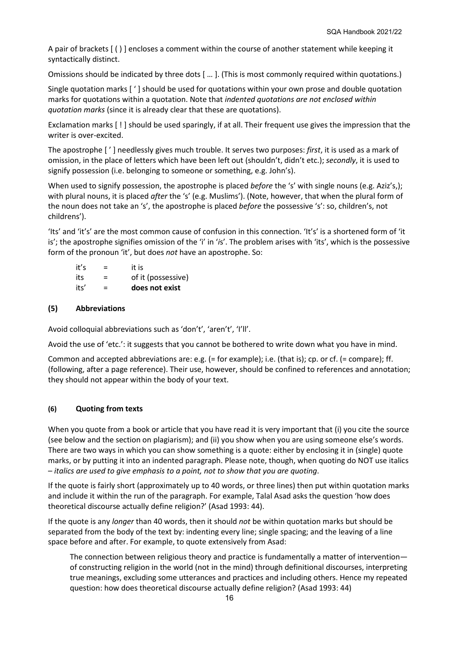A pair of brackets [ ( ) ] encloses a comment within the course of another statement while keeping it syntactically distinct.

Omissions should be indicated by three dots [ … ]. (This is most commonly required within quotations.)

Single quotation marks [ ' ] should be used for quotations within your own prose and double quotation marks for quotations within a quotation. Note that *indented quotations are not enclosed within quotation marks* (since it is already clear that these are quotations).

Exclamation marks [ ! ] should be used sparingly, if at all. Their frequent use gives the impression that the writer is over-excited.

The apostrophe [ ' ] needlessly gives much trouble. It serves two purposes: *first*, it is used as a mark of omission, in the place of letters which have been left out (shouldn't, didn't etc.); *secondly*, it is used to signify possession (i.e. belonging to someone or something, e.g. John's).

When used to signify possession, the apostrophe is placed *before* the 's' with single nouns (e.g. Aziz's,); with plural nouns, it is placed *after* the 's' (e.g. Muslims'). (Note, however, that when the plural form of the noun does not take an 's', the apostrophe is placed *before* the possessive 's': so, children's, not childrens').

'Its' and 'it's' are the most common cause of confusion in this connection. 'It's' is a shortened form of 'it is'; the apostrophe signifies omission of the 'i' in '*i*s'. The problem arises with 'its', which is the possessive form of the pronoun 'it', but does *not* have an apostrophe. So:

| it's | $=$ | it is              |
|------|-----|--------------------|
| its  | $=$ | of it (possessive) |
| its' | $=$ | does not exist     |

## **(5) Abbreviations**

Avoid colloquial abbreviations such as 'don't', 'aren't', 'I'll'.

Avoid the use of 'etc.': it suggests that you cannot be bothered to write down what you have in mind.

Common and accepted abbreviations are: e.g. (= for example); i.e. (that is); cp. or cf. (= compare); ff. (following, after a page reference). Their use, however, should be confined to references and annotation; they should not appear within the body of your text.

## **(6) Quoting from texts**

When you quote from a book or article that you have read it is very important that (i) you cite the source (see below and the section on plagiarism); and (ii) you show when you are using someone else's words. There are two ways in which you can show something is a quote: either by enclosing it in (single) quote marks, or by putting it into an indented paragraph. Please note, though, when quoting do NOT use italics – *italics are used to give emphasis to a point, not to show that you are quoting*.

If the quote is fairly short (approximately up to 40 words, or three lines) then put within quotation marks and include it within the run of the paragraph. For example, Talal Asad asks the question 'how does theoretical discourse actually define religion?' (Asad 1993: 44).

If the quote is any *longer* than 40 words, then it should *not* be within quotation marks but should be separated from the body of the text by: indenting every line; single spacing; and the leaving of a line space before and after. For example, to quote extensively from Asad:

The connection between religious theory and practice is fundamentally a matter of intervention of constructing religion in the world (not in the mind) through definitional discourses, interpreting true meanings, excluding some utterances and practices and including others. Hence my repeated question: how does theoretical discourse actually define religion? (Asad 1993: 44)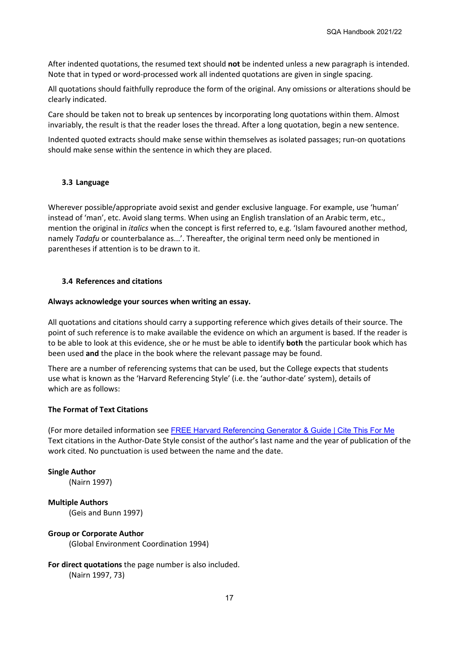After indented quotations, the resumed text should **not** be indented unless a new paragraph is intended. Note that in typed or word-processed work all indented quotations are given in single spacing.

All quotations should faithfully reproduce the form of the original. Any omissions or alterations should be clearly indicated.

Care should be taken not to break up sentences by incorporating long quotations within them. Almost invariably, the result is that the reader loses the thread. After a long quotation, begin a new sentence.

Indented quoted extracts should make sense within themselves as isolated passages; run-on quotations should make sense within the sentence in which they are placed.

#### **3.3 Language**

Wherever possible/appropriate avoid sexist and gender exclusive language. For example, use 'human' instead of 'man', etc. Avoid slang terms. When using an English translation of an Arabic term, etc., mention the original in *italics* when the concept is first referred to, e.g. 'Islam favoured another method, namely *Tadafu* or counterbalance as...'. Thereafter, the original term need only be mentioned in parentheses if attention is to be drawn to it.

#### **3.4 References and citations**

#### **Always acknowledge your sources when writing an essay.**

All quotations and citations should carry a supporting reference which gives details of their source. The point of such reference is to make available the evidence on which an argument is based. If the reader is to be able to look at this evidence, she or he must be able to identify **both** the particular book which has been used **and** the place in the book where the relevant passage may be found.

There are a number of referencing systems that can be used, but the College expects that students use what is known as the 'Harvard Referencing Style' (i.e. the 'author-date' system), details of which are as follows:

## **The Format of Text Citations**

(For more detailed information see [FREE Harvard Referencing Generator & Guide | Cite This For Me](https://www.citethisforme.com/uk/referencing-generator/harvard) Text citations in the Author-Date Style consist of the author's last name and the year of publication of the work cited. No punctuation is used between the name and the date.

#### **Single Author**

(Nairn 1997)

**Multiple Authors** (Geis and Bunn 1997)

#### **Group or Corporate Author**

(Global Environment Coordination 1994)

## **For direct quotations** the page number is also included.

(Nairn 1997, 73)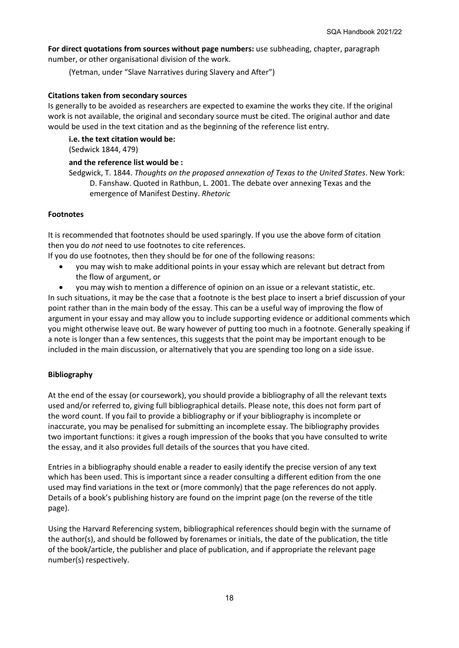**For direct quotations from sources without page numbers:** use subheading, chapter, paragraph number, or other organisational division of the work.

(Yetman, under "Slave Narratives during Slavery and After")

#### **Citations taken from secondary sources**

Is generally to be avoided as researchers are expected to examine the works they cite. If the original work is not available, the original and secondary source must be cited. The original author and date would be used in the text citation and as the beginning of the reference list entry.

**i.e. the text citation would be:** (Sedwick 1844, 479)

#### **and the reference list would be :**

Sedgwick, T. 1844. *Thoughts on the proposed annexation of Texas to the United States*. New York: D. Fanshaw. Quoted in Rathbun, L. 2001. The debate over annexing Texas and the emergence of Manifest Destiny. *Rhetoric*

### **Footnotes**

It is recommended that footnotes should be used sparingly. If you use the above form of citation then you do *not* need to use footnotes to cite references.

If you do use footnotes, then they should be for one of the following reasons:

- you may wish to make additional points in your essay which are relevant but detract from the flow of argument, or
- you may wish to mention a difference of opinion on an issue or a relevant statistic, etc.

In such situations, it may be the case that a footnote is the best place to insert a brief discussion of your point rather than in the main body of the essay. This can be a useful way of improving the flow of argument in your essay and may allow you to include supporting evidence or additional comments which you might otherwise leave out. Be wary however of putting too much in a footnote. Generally speaking if a note is longer than a few sentences, this suggests that the point may be important enough to be included in the main discussion, or alternatively that you are spending too long on a side issue.

### **Bibliography**

At the end of the essay (or coursework), you should provide a bibliography of all the relevant texts used and/or referred to, giving full bibliographical details. Please note, this does not form part of the word count. If you fail to provide a bibliography or if your bibliography is incomplete or inaccurate, you may be penalised for submitting an incomplete essay. The bibliography provides two important functions: it gives a rough impression of the books that you have consulted to write the essay, and it also provides full details of the sources that you have cited.

Entries in a bibliography should enable a reader to easily identify the precise version of any text which has been used. This is important since a reader consulting a different edition from the one used may find variations in the text or (more commonly) that the page references do not apply. Details of a book's publishing history are found on the imprint page (on the reverse of the title page).

Using the Harvard Referencing system, bibliographical references should begin with the surname of the author(s), and should be followed by forenames or initials, the date of the publication, the title of the book/article, the publisher and place of publication, and if appropriate the relevant page number(s) respectively.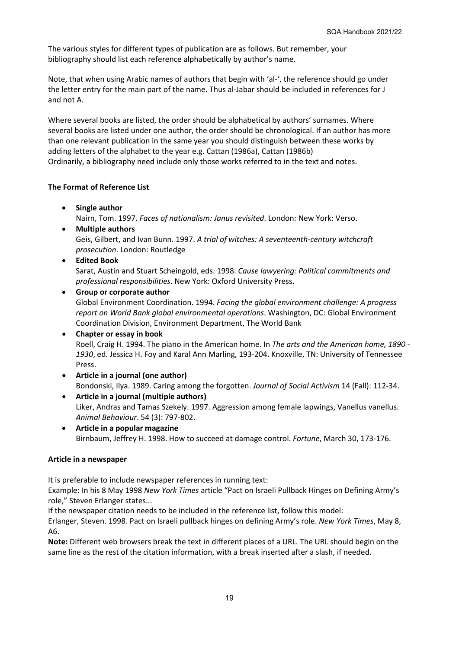The various styles for different types of publication are as follows. But remember, your bibliography should list each reference alphabetically by author's name.

Note, that when using Arabic names of authors that begin with 'al-', the reference should go under the letter entry for the main part of the name. Thus al-Jabar should be included in references for J and not A.

Where several books are listed, the order should be alphabetical by authors' surnames. Where several books are listed under one author, the order should be chronological. If an author has more than one relevant publication in the same year you should distinguish between these works by adding letters of the alphabet to the year e.g. Cattan (1986a), Cattan (1986b) Ordinarily, a bibliography need include only those works referred to in the text and notes.

## **The Format of Reference List**

- **Single author** Nairn, Tom. 1997. *Faces of nationalism: Janus revisited*. London: New York: Verso.
- **Multiple authors** Geis, Gilbert, and Ivan Bunn. 1997. *A trial of witches: A seventeenth-century witchcraft prosecution*. London: Routledge
- **Edited Book**

Sarat, Austin and Stuart Scheingold, eds. 1998. *Cause lawyering: Political commitments and professional responsibilities*. New York: Oxford University Press.

• **Group or corporate author**

Global Environment Coordination. 1994. *Facing the global environment challenge: A progress report on World Bank global environmental operations*. Washington, DC: Global Environment Coordination Division, Environment Department, The World Bank

### • **Chapter or essay in book**

Roell, Craig H. 1994. The piano in the American home. In *The arts and the American home, 1890 - 1930*, ed. Jessica H. Foy and Karal Ann Marling, 193-204. Knoxville, TN: University of Tennessee Press.

- **Article in a journal (one author)** Bondonski, Ilya. 1989. Caring among the forgotten. *Journal of Social Activism* 14 (Fall): 112-34.
- **Article in a journal (multiple authors)** Liker, Andras and Tamas Szekely. 1997. Aggression among female lapwings, Vanellus vanellus. *Animal Behaviour*. 54 (3): 797-802.
- **Article in a popular magazine** Birnbaum, Jeffrey H. 1998. How to succeed at damage control. *Fortune*, March 30, 173-176.

### **Article in a newspaper**

It is preferable to include newspaper references in running text:

Example: In his 8 May 1998 *New York Times* article "Pact on Israeli Pullback Hinges on Defining Army's role," Steven Erlanger states...

If the newspaper citation needs to be included in the reference list, follow this model:

Erlanger, Steven. 1998. Pact on Israeli pullback hinges on defining Army's role. *New York Times*, May 8, A6.

**Note:** Different web browsers break the text in different places of a URL. The URL should begin on the same line as the rest of the citation information, with a break inserted after a slash, if needed.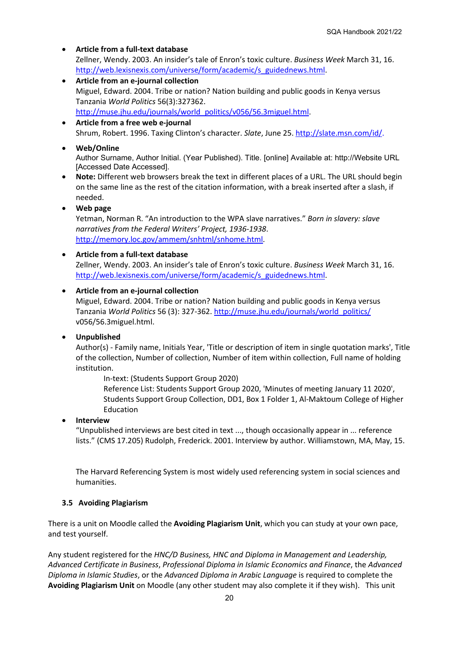- **Article from a full-text database** Zellner, Wendy. 2003. An insider's tale of Enron's toxic culture. *Business Week* March 31, 16. [http://web.lexisnexis.com/universe/form/academic/s\\_guidednews.html.](http://web.lexisnexis.com/universe/form/academic/s_guidednews.html)
- **Article from an e-journal collection** Miguel, Edward. 2004. Tribe or nation? Nation building and public goods in Kenya versus Tanzania *World Politics* 56(3):327362. [http://muse.jhu.edu/journals/world\\_politics/v056/56.3miguel.html.](http://muse.jhu.edu/journals/world_politics/v056/56.3miguel.html)
- **Article from a free web e-journal** Shrum, Robert. 1996. Taxing Clinton's character. *Slate*, June 25[. http://slate.msn.com/id/.](http://slate.msn.com/id/)
- **Web/Online**

Author Surname, Author Initial. (Year Published). Title. [online] Available at: http://Website URL [Accessed Date Accessed].

- **Note:** Different web browsers break the text in different places of a URL. The URL should begin on the same line as the rest of the citation information, with a break inserted after a slash, if needed.
- **Web page**

Yetman, Norman R. "An introduction to the WPA slave narratives." *Born in slavery: slave narratives from the Federal Writers' Project, 1936-1938*. [http://memory.loc.gov/ammem/snhtml/snhome.html.](http://memory.loc.gov/ammem/snhtml/snhome.html)

## • **Article from a full-text database**

Zellner, Wendy. 2003. An insider's tale of Enron's toxic culture. *Business Week* March 31, 16. [http://web.lexisnexis.com/universe/form/academic/s\\_guidednews.html.](http://web.lexisnexis.com/universe/form/academic/s_guidednews.html)

### • **Article from an e-journal collection**

Miguel, Edward. 2004. Tribe or nation? Nation building and public goods in Kenya versus Tanzania *World Politics* 56 (3): 327-362[. http://muse.jhu.edu/journals/world\\_politics/](http://muse.jhu.edu/journals/world_politics/) v056/56.3miguel.html.

## • **Unpublished**

Author(s) - Family name, Initials Year, 'Title or description of item in single quotation marks', Title of the collection, Number of collection, Number of item within collection, Full name of holding institution.

In-text: (Students Support Group 2020)

Reference List: Students Support Group 2020, 'Minutes of meeting January 11 2020', Students Support Group Collection, DD1, Box 1 Folder 1, Al-Maktoum College of Higher Education

### • **Interview**

"Unpublished interviews are best cited in text ..., though occasionally appear in ... reference lists." (CMS 17.205) Rudolph, Frederick. 2001. Interview by author. Williamstown, MA, May, 15.

The Harvard Referencing System is most widely used referencing system in social sciences and humanities.

## **3.5 Avoiding Plagiarism**

There is a unit on Moodle called the **Avoiding Plagiarism Unit**, which you can study at your own pace, and test yourself.

Any student registered for the *HNC/D Business, HNC and Diploma in Management and Leadership, Advanced Certificate in Business*, *Professional Diploma in Islamic Economics and Finance*, the *Advanced Diploma in Islamic Studies*, or the *Advanced Diploma in Arabic Language* is required to complete the **Avoiding Plagiarism Unit** on Moodle (any other student may also complete it if they wish). This unit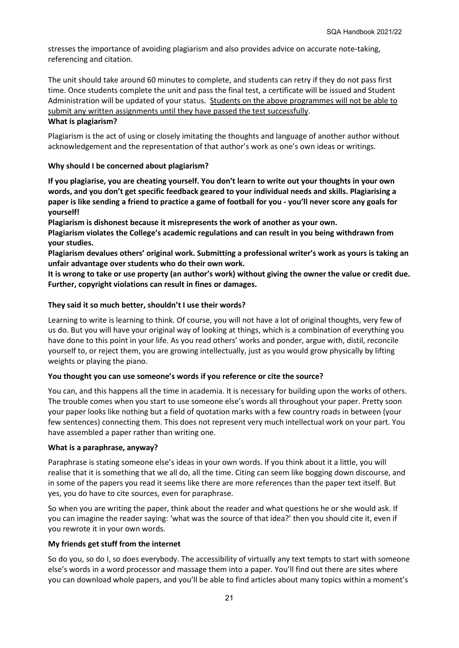stresses the importance of avoiding plagiarism and also provides advice on accurate note-taking, referencing and citation.

The unit should take around 60 minutes to complete, and students can retry if they do not pass first time. Once students complete the unit and pass the final test, a certificate will be issued and Student Administration will be updated of your status. Students on the above programmes will not be able to submit any written assignments until they have passed the test successfully.

## **What is plagiarism?**

Plagiarism is the act of using or closely imitating the thoughts and language of another author without acknowledgement and the representation of that author's work as one's own ideas or writings.

## **Why should I be concerned about plagiarism?**

**If you plagiarise, you are cheating yourself. You don't learn to write out your thoughts in your own words, and you don't get specific feedback geared to your individual needs and skills. Plagiarising a paper is like sending a friend to practice a game of football for you - you'll never score any goals for yourself!**

**Plagiarism is dishonest because it misrepresents the work of another as your own.**

**Plagiarism violates the College's academic regulations and can result in you being withdrawn from your studies.**

**Plagiarism devalues others' original work. Submitting a professional writer's work as yours is taking an unfair advantage over students who do their own work.**

**It is wrong to take or use property (an author's work) without giving the owner the value or credit due. Further, copyright violations can result in fines or damages.**

## **They said it so much better, shouldn't I use their words?**

Learning to write is learning to think. Of course, you will not have a lot of original thoughts, very few of us do. But you will have your original way of looking at things, which is a combination of everything you have done to this point in your life. As you read others' works and ponder, argue with, distil, reconcile yourself to, or reject them, you are growing intellectually, just as you would grow physically by lifting weights or playing the piano.

### **You thought you can use someone's words if you reference or [cite](http://www.georgetown.edu/honor/plagiarism.html#citation#citation) the source?**

You can, and this happens all the time in academia. It is necessary for building upon the works of others. The trouble comes when you start to use someone else's words all throughout your paper. Pretty soon your paper looks like nothing but a field of quotation marks with a few country roads in between (your few sentences) connecting them. This does not represent very much intellectual work on your part. You have assembled a paper rather than writing one.

### **What is a paraphrase, anyway?**

Paraphrase is stating someone else's ideas in your own words. If you think about it a little, you will realise that it is something that we all do, all the time. Citing can seem like bogging down discourse, and in some of the papers you read it seems like there are more references than the paper text itself. But yes, you do have to cite sources, even for paraphrase.

So when you are writing the paper, think about the reader and what questions he or she would ask. If you can imagine the reader saying: 'what was the source of that idea?' then you should cite it, even if you rewrote it in your own words.

## **My friends get stuff from the internet**

So do you, so do I, so does everybody. The accessibility of virtually any text tempts to start with someone else's words in a word processor and massage them into a paper. You'll find out there are sites where you can download whole papers, and you'll be able to find articles about many topics within a moment's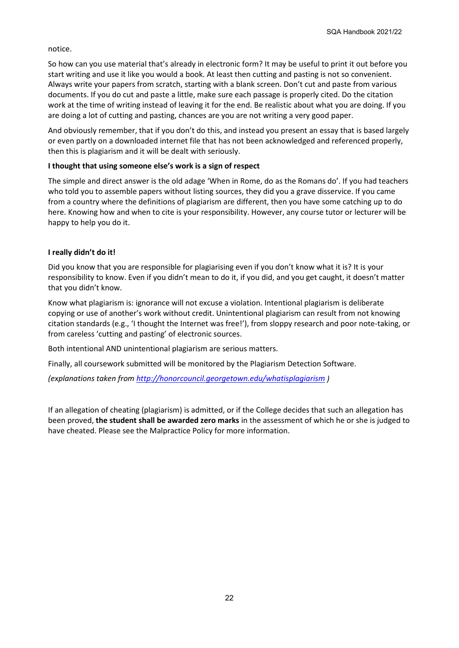notice.

So how can you use material that's already in electronic form? It may be useful to print it out before you start writing and use it like you would a book. At least then cutting and pasting is not so convenient. Always write your papers from scratch, starting with a blank screen. Don't cut and paste from various documents. If you do cut and paste a little, make sure each passage is properly cited. Do the citation work at the time of writing instead of leaving it for the end. Be realistic about what you are doing. If you are doing a lot of cutting and pasting, chances are you are not writing a very good paper.

And obviously remember, that if you don't do this, and instead you present an essay that is based largely or even partly on a downloaded internet file that has not been acknowledged and referenced properly, then this is plagiarism and it will be dealt with seriously.

## **I thought that using someone else's work is a sign of respect**

The simple and direct answer is the old adage 'When in Rome, do as the Romans do'. If you had teachers who told you to assemble papers without listing sources, they did you a grave disservice. If you came from a country where the definitions of plagiarism are different, then you have some catching up to do here. Knowing how and when to cite is your responsibility. However, any course tutor or lecturer will be happy to help you do it.

## **I really didn't do it!**

Did you know that you are responsible for plagiarising even if you don't know what it is? It is your responsibility to know. Even if you didn't mean to do it, if you did, and you get caught, it doesn't matter that you didn't know.

Know what plagiarism is: ignorance will not excuse a violation. Intentional plagiarism is deliberate copying or use of another's work without credit. Unintentional plagiarism can result from not knowing citation standards (e.g., 'I thought the Internet was free!'), from sloppy research and poor note-taking, or from careless 'cutting and pasting' of electronic sources.

Both intentional AND unintentional plagiarism are serious matters.

Finally, all coursework submitted will be monitored by the Plagiarism Detection Software.

*(explanations taken from<http://honorcouncil.georgetown.edu/whatisplagiarism> )* 

If an allegation of cheating (plagiarism) is admitted, or if the College decides that such an allegation has been proved, **the student shall be awarded zero marks** in the assessment of which he or she is judged to have cheated. Please see the Malpractice Policy for more information.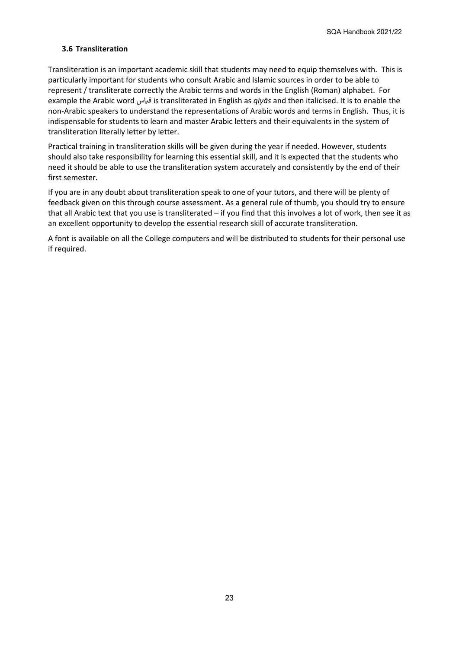## **3.6 Transliteration**

Transliteration is an important academic skill that students may need to equip themselves with. This is particularly important for students who consult Arabic and Islamic sources in order to be able to represent / transliterate correctly the Arabic terms and words in the English (Roman) alphabet. For example the Arabic word اس�ق is transliterated in English as *qiyās* and then italicised. It is to enable the non-Arabic speakers to understand the representations of Arabic words and terms in English. Thus, it is indispensable for students to learn and master Arabic letters and their equivalents in the system of transliteration literally letter by letter.

Practical training in transliteration skills will be given during the year if needed. However, students should also take responsibility for learning this essential skill, and it is expected that the students who need it should be able to use the transliteration system accurately and consistently by the end of their first semester.

If you are in any doubt about transliteration speak to one of your tutors, and there will be plenty of feedback given on this through course assessment. As a general rule of thumb, you should try to ensure that all Arabic text that you use is transliterated – if you find that this involves a lot of work, then see it as an excellent opportunity to develop the essential research skill of accurate transliteration.

A font is available on all the College computers and will be distributed to students for their personal use if required.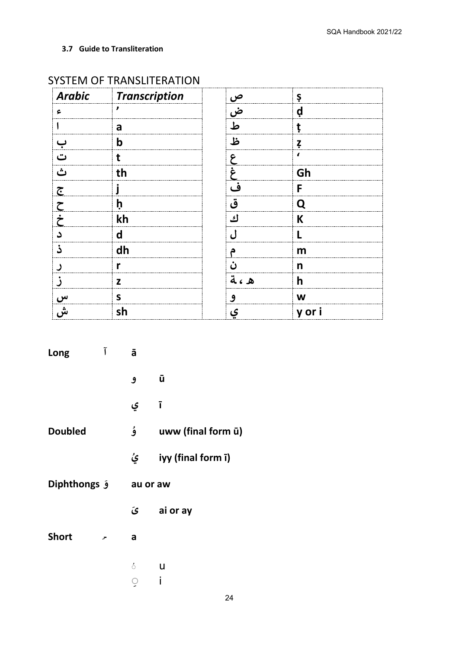**3.7 Guide to Transliteration**

| <b>Arabic</b>        | Transcription | <u>ص</u> | Ş        |
|----------------------|---------------|----------|----------|
| ء                    | ,             | __<br>ض  | ạ        |
|                      | a             | ط        | t        |
| ب                    | b             | ظ        | Ţ        |
| ت                    | t             | ۶        | $\prime$ |
| ث                    | th            | غ        | Gh       |
| $\tilde{\mathbf{C}}$ |               | ف        | F        |
| $\overline{r}$       | þ             | ق        | Q        |
| $\dot{\tilde{c}}$    | kh            | ك        | K        |
|                      | d             | ا ،      |          |
| ذ                    | dh            | P        | m        |
|                      | r             | ċ,       | n        |
|                      | Z             | ه ، ته   | h        |
|                      | $\mathsf{s}$  | و        | W        |
| س<br>ش               | sh            | ی        | y or i   |

## SYSTEM OF TRANSLITERATION

| Long               | Ĩ | ā          |                    |
|--------------------|---|------------|--------------------|
|                    |   | و          | ū                  |
|                    |   | ي          | ī                  |
| <b>Doubled</b>     |   | ۇ          | uww (final form ū) |
|                    |   | يُ         | iyy (final form ī) |
| Diphthongs $\zeta$ |   |            | au or aw           |
|                    |   | ى          | ai or ay           |
| <b>Short</b>       | ∼ | a          |                    |
|                    |   | ់          | U                  |
|                    |   | $\bigcirc$ | i                  |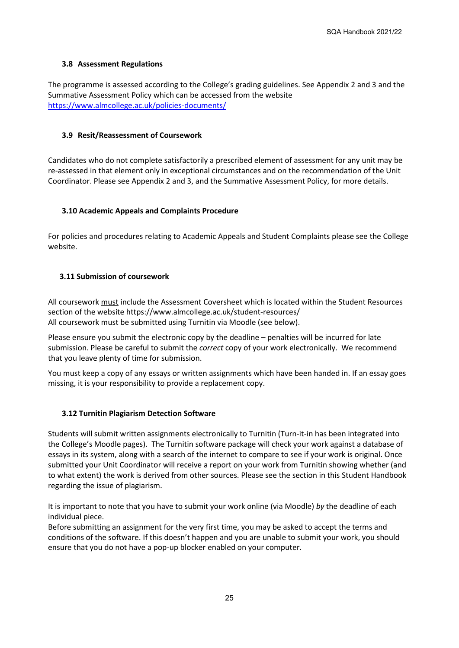## **3.8 Assessment Regulations**

The programme is assessed according to the College's grading guidelines. See Appendix 2 and 3 and the Summative Assessment Policy which can be accessed from the website <https://www.almcollege.ac.uk/policies-documents/>

## **3.9 Resit/Reassessment of Coursework**

Candidates who do not complete satisfactorily a prescribed element of assessment for any unit may be re-assessed in that element only in exceptional circumstances and on the recommendation of the Unit Coordinator. Please see Appendix 2 and 3, and the Summative Assessment Policy, for more details.

## **3.10 Academic Appeals and Complaints Procedure**

For policies and procedures relating to Academic Appeals and Student Complaints please see the College website.

## **3.11 Submission of coursework**

All coursework must include the Assessment Coversheet which is located within the Student Resources section of the website https://www.almcollege.ac.uk/student-resources/ All coursework must be submitted using Turnitin via Moodle (see below).

Please ensure you submit the electronic copy by the deadline – penalties will be incurred for late submission. Please be careful to submit the *correct* copy of your work electronically. We recommend that you leave plenty of time for submission.

You must keep a copy of any essays or written assignments which have been handed in. If an essay goes missing, it is your responsibility to provide a replacement copy.

### **3.12 Turnitin Plagiarism Detection Software**

Students will submit written assignments electronically to Turnitin (Turn-it-in has been integrated into the College's Moodle pages). The Turnitin software package will check your work against a database of essays in its system, along with a search of the internet to compare to see if your work is original. Once submitted your Unit Coordinator will receive a report on your work from Turnitin showing whether (and to what extent) the work is derived from other sources. Please see the section in this Student Handbook regarding the issue of plagiarism.

It is important to note that you have to submit your work online (via Moodle) *by* the deadline of each individual piece.

Before submitting an assignment for the very first time, you may be asked to accept the terms and conditions of the software. If this doesn't happen and you are unable to submit your work, you should ensure that you do not have a pop-up blocker enabled on your computer.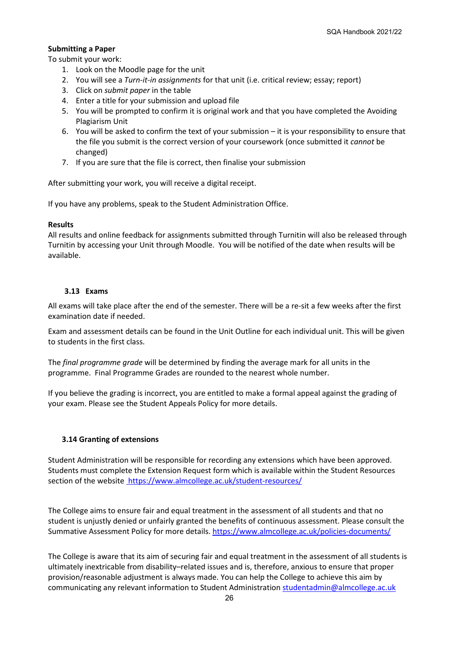## **Submitting a Paper**

To submit your work:

- 1. Look on the Moodle page for the unit
- 2. You will see a *Turn-it-in assignments* for that unit (i.e. critical review; essay; report)
- 3. Click on *submit paper* in the table
- 4. Enter a title for your submission and upload file
- 5. You will be prompted to confirm it is original work and that you have completed the Avoiding Plagiarism Unit
- 6. You will be asked to confirm the text of your submission it is your responsibility to ensure that the file you submit is the correct version of your coursework (once submitted it *cannot* be changed)
- 7. If you are sure that the file is correct, then finalise your submission

After submitting your work, you will receive a digital receipt.

If you have any problems, speak to the Student Administration Office.

## **Results**

All results and online feedback for assignments submitted through Turnitin will also be released through Turnitin by accessing your Unit through Moodle. You will be notified of the date when results will be available.

## **3.13 Exams**

All exams will take place after the end of the semester. There will be a re-sit a few weeks after the first examination date if needed.

Exam and assessment details can be found in the Unit Outline for each individual unit. This will be given to students in the first class.

The *final programme grade* will be determined by finding the average mark for all units in the programme. Final Programme Grades are rounded to the nearest whole number.

If you believe the grading is incorrect, you are entitled to make a formal appeal against the grading of your exam. Please see the Student Appeals Policy for more details.

## **3.14 Granting of extensions**

Student Administration will be responsible for recording any extensions which have been approved. Students must complete the Extension Request form which is available within the Student Resources section of the website https://www.almcollege.ac.uk/student-resources/

The College aims to ensure fair and equal treatment in the assessment of all students and that no student is unjustly denied or unfairly granted the benefits of continuous assessment. Please consult the Summative Assessment Policy for more details. <https://www.almcollege.ac.uk/policies-documents/>

The College is aware that its aim of securing fair and equal treatment in the assessment of all students is ultimately inextricable from disability–related issues and is, therefore, anxious to ensure that proper provision/reasonable adjustment is always made. You can help the College to achieve this aim by communicating any relevant information to Student Administration [studentadmin@almcollege.ac.uk](mailto:studentadmin@almcollege.ac.uk)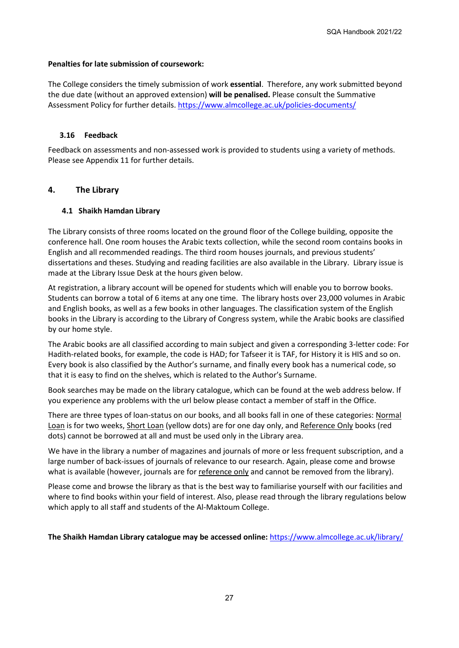## **Penalties for late submission of coursework:**

The College considers the timely submission of work **essential**. Therefore, any work submitted beyond the due date (without an approved extension) **will be penalised.** Please consult the Summative Assessment Policy for further details. <https://www.almcollege.ac.uk/policies-documents/>

## **3.16 Feedback**

Feedback on assessments and non-assessed work is provided to students using a variety of methods. Please see Appendix 11 for further details.

## **4. The Library**

## **4.1 Shaikh Hamdan Library**

The Library consists of three rooms located on the ground floor of the College building, opposite the conference hall. One room houses the Arabic texts collection, while the second room contains books in English and all recommended readings. The third room houses journals, and previous students' dissertations and theses. Studying and reading facilities are also available in the Library. Library issue is made at the Library Issue Desk at the hours given below.

At registration, a library account will be opened for students which will enable you to borrow books. Students can borrow a total of 6 items at any one time. The library hosts over 23,000 volumes in Arabic and English books, as well as a few books in other languages. The classification system of the English books in the Library is according to the Library of Congress system, while the Arabic books are classified by our home style.

The Arabic books are all classified according to main subject and given a corresponding 3-letter code: For Hadith-related books, for example, the code is HAD; for Tafseer it is TAF, for History it is HIS and so on. Every book is also classified by the Author's surname, and finally every book has a numerical code, so that it is easy to find on the shelves, which is related to the Author's Surname.

Book searches may be made on the library catalogue, which can be found at the web address below. If you experience any problems with the url below please contact a member of staff in the Office.

There are three types of loan-status on our books, and all books fall in one of these categories: Normal Loan is for two weeks, Short Loan (yellow dots) are for one day only, and Reference Only books (red dots) cannot be borrowed at all and must be used only in the Library area.

We have in the library a number of magazines and journals of more or less frequent subscription, and a large number of back-issues of journals of relevance to our research. Again, please come and browse what is available (however, journals are for reference only and cannot be removed from the library).

Please come and browse the library as that is the best way to familiarise yourself with our facilities and where to find books within your field of interest. Also, please read through the library regulations below which apply to all staff and students of the Al-Maktoum College.

**The Shaikh Hamdan Library catalogue may be accessed online:** <https://www.almcollege.ac.uk/library/>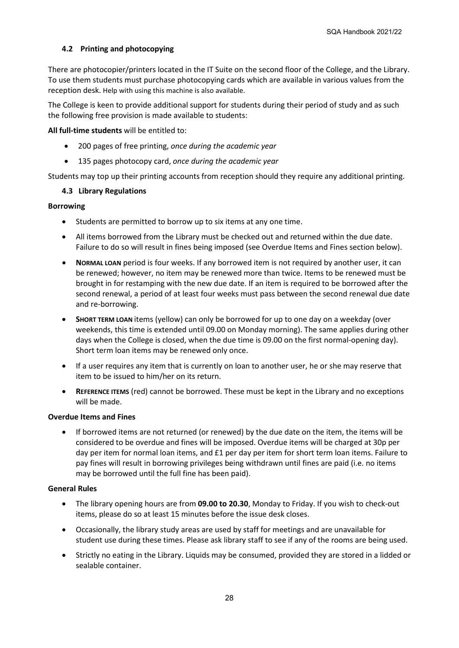## **4.2 Printing and photocopying**

There are photocopier/printers located in the IT Suite on the second floor of the College, and the Library. To use them students must purchase photocopying cards which are available in various values from the reception desk. Help with using this machine is also available.

The College is keen to provide additional support for students during their period of study and as such the following free provision is made available to students:

#### **All full-time students** will be entitled to:

- 200 pages of free printing, *once during the academic year*
- 135 pages photocopy card, *once during the academic year*

Students may top up their printing accounts from reception should they require any additional printing.

## **4.3 Library Regulations**

### **Borrowing**

- Students are permitted to borrow up to six items at any one time.
- All items borrowed from the Library must be checked out and returned within the due date. Failure to do so will result in fines being imposed (see Overdue Items and Fines section below).
- **NORMAL LOAN** period is four weeks. If any borrowed item is not required by another user, it can be renewed; however, no item may be renewed more than twice. Items to be renewed must be brought in for restamping with the new due date. If an item is required to be borrowed after the second renewal, a period of at least four weeks must pass between the second renewal due date and re-borrowing.
- **SHORT TERM LOAN** items (yellow) can only be borrowed for up to one day on a weekday (over weekends, this time is extended until 09.00 on Monday morning). The same applies during other days when the College is closed, when the due time is 09.00 on the first normal-opening day). Short term loan items may be renewed only once.
- If a user requires any item that is currently on loan to another user, he or she may reserve that item to be issued to him/her on its return.
- **REFERENCE ITEMS** (red) cannot be borrowed. These must be kept in the Library and no exceptions will be made.

### **Overdue Items and Fines**

• If borrowed items are not returned (or renewed) by the due date on the item, the items will be considered to be overdue and fines will be imposed. Overdue items will be charged at 30p per day per item for normal loan items, and £1 per day per item for short term loan items. Failure to pay fines will result in borrowing privileges being withdrawn until fines are paid (i.e. no items may be borrowed until the full fine has been paid).

### **General Rules**

- The library opening hours are from **09.00 to 20.30**, Monday to Friday. If you wish to check-out items, please do so at least 15 minutes before the issue desk closes.
- Occasionally, the library study areas are used by staff for meetings and are unavailable for student use during these times. Please ask library staff to see if any of the rooms are being used.
- Strictly no eating in the Library. Liquids may be consumed, provided they are stored in a lidded or sealable container.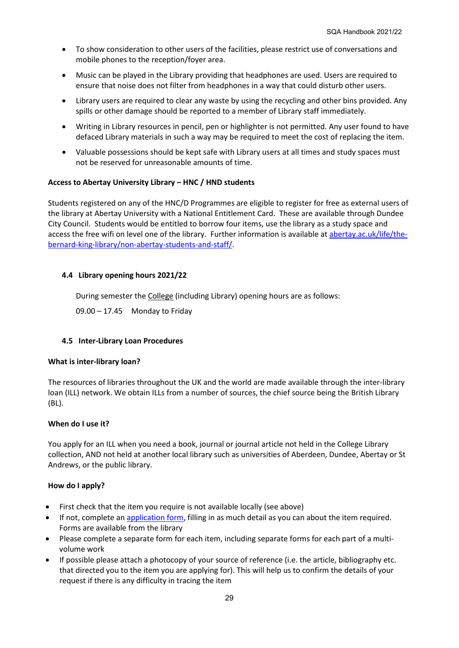- To show consideration to other users of the facilities, please restrict use of conversations and mobile phones to the reception/foyer area.
- Music can be played in the Library providing that headphones are used. Users are required to ensure that noise does not filter from headphones in a way that could disturb other users.
- Library users are required to clear any waste by using the recycling and other bins provided. Any spills or other damage should be reported to a member of Library staff immediately.
- Writing in Library resources in pencil, pen or highlighter is not permitted. Any user found to have defaced Library materials in such a way may be required to meet the cost of replacing the item.
- Valuable possessions should be kept safe with Library users at all times and study spaces must not be reserved for unreasonable amounts of time.

## **Access to Abertay University Library – HNC / HND students**

Students registered on any of the HNC/D Programmes are eligible to register for free as external users of the library at Abertay University with a National Entitlement Card. These are available through Dundee City Council. Students would be entitled to borrow four items, use the library as a study space and access the free wifi on level one of the library. Further information is available at [abertay.ac.uk/life/the](https://www.abertay.ac.uk/life/the-bernard-king-library/non-abertay-students-and-staff/)[bernard-king-library/non-abertay-students-and-staff/.](https://www.abertay.ac.uk/life/the-bernard-king-library/non-abertay-students-and-staff/)

## **4.4 Library opening hours 2021/22**

During semester the College (including Library) opening hours are as follows:

09.00 – 17.45 Monday to Friday

### **4.5 Inter-Library Loan Procedures**

### **What is inter-library loan?**

The resources of libraries throughout the UK and the world are made available through the inter-library loan (ILL) network. We obtain ILLs from a number of sources, the chief source being the British Library (BL).

### **When do I use it?**

You apply for an ILL when you need a book, journal or journal article not held in the College Library collection, AND not held at another local library such as universities of Aberdeen, Dundee, Abertay or St Andrews, or the public library.

### **How do I apply?**

- First check that the item you require is not available locally (see above)
- If not, complete a[n application form,](http://www.dundee.ac.uk/library/pdf/illformOct2003.pdf) filling in as much detail as you can about the item required. Forms are available from the library
- Please complete a separate form for each item, including separate forms for each part of a multivolume work
- If possible please attach a photocopy of your source of reference (i.e. the article, bibliography etc. that directed you to the item you are applying for). This will help us to confirm the details of your request if there is any difficulty in tracing the item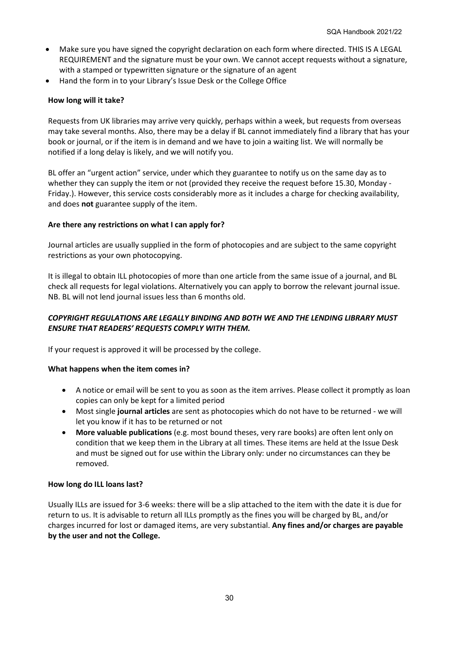- Make sure you have signed the copyright declaration on each form where directed. THIS IS A LEGAL REQUIREMENT and the signature must be your own. We cannot accept requests without a signature, with a stamped or typewritten signature or the signature of an agent
- Hand the form in to your Library's Issue Desk or the College Office

## **How long will it take?**

Requests from UK libraries may arrive very quickly, perhaps within a week, but requests from overseas may take several months. Also, there may be a delay if BL cannot immediately find a library that has your book or journal, or if the item is in demand and we have to join a waiting list. We will normally be notified if a long delay is likely, and we will notify you.

BL offer an "urgent action" service, under which they guarantee to notify us on the same day as to whether they can supply the item or not (provided they receive the request before 15.30, Monday - Friday.). However, this service costs considerably more as it includes a charge for checking availability, and does **not** guarantee supply of the item.

## **Are there any restrictions on what I can apply for?**

Journal articles are usually supplied in the form of photocopies and are subject to the same copyright restrictions as your own photocopying.

It is illegal to obtain ILL photocopies of more than one article from the same issue of a journal, and BL check all requests for legal violations. Alternatively you can apply to borrow the relevant journal issue. NB. BL will not lend journal issues less than 6 months old.

## *COPYRIGHT REGULATIONS ARE LEGALLY BINDING AND BOTH WE AND THE LENDING LIBRARY MUST ENSURE THAT READERS' REQUESTS COMPLY WITH THEM.*

If your request is approved it will be processed by the college.

### **What happens when the item comes in?**

- A notice or email will be sent to you as soon as the item arrives. Please collect it promptly as loan copies can only be kept for a limited period
- Most single **journal articles** are sent as photocopies which do not have to be returned we will let you know if it has to be returned or not
- **More valuable publications** (e.g. most bound theses, very rare books) are often lent only on condition that we keep them in the Library at all times. These items are held at the Issue Desk and must be signed out for use within the Library only: under no circumstances can they be removed.

### **How long do ILL loans last?**

Usually ILLs are issued for 3-6 weeks: there will be a slip attached to the item with the date it is due for return to us. It is advisable to return all ILLs promptly as the fines you will be charged by BL, and/or charges incurred for lost or damaged items, are very substantial. **Any fines and/or charges are payable by the user and not the College.**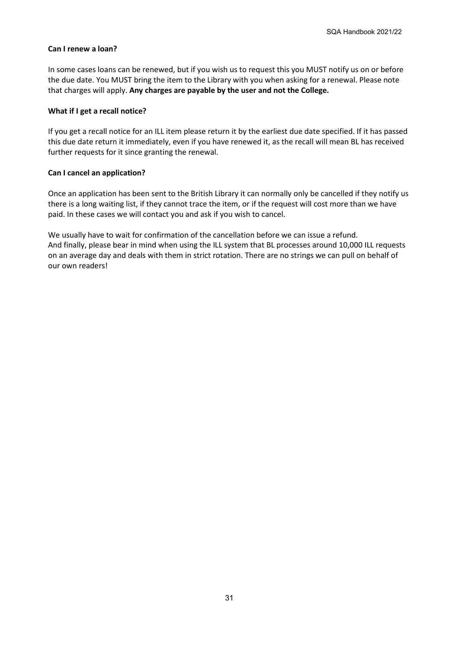## **Can I renew a loan?**

In some cases loans can be renewed, but if you wish us to request this you MUST notify us on or before the due date. You MUST bring the item to the Library with you when asking for a renewal. Please note that charges will apply. **Any charges are payable by the user and not the College.**

## **What if I get a recall notice?**

If you get a recall notice for an ILL item please return it by the earliest due date specified. If it has passed this due date return it immediately, even if you have renewed it, as the recall will mean BL has received further requests for it since granting the renewal.

## **Can I cancel an application?**

Once an application has been sent to the British Library it can normally only be cancelled if they notify us there is a long waiting list, if they cannot trace the item, or if the request will cost more than we have paid. In these cases we will contact you and ask if you wish to cancel.

We usually have to wait for confirmation of the cancellation before we can issue a refund. And finally, please bear in mind when using the ILL system that BL processes around 10,000 ILL requests on an average day and deals with them in strict rotation. There are no strings we can pull on behalf of our own readers!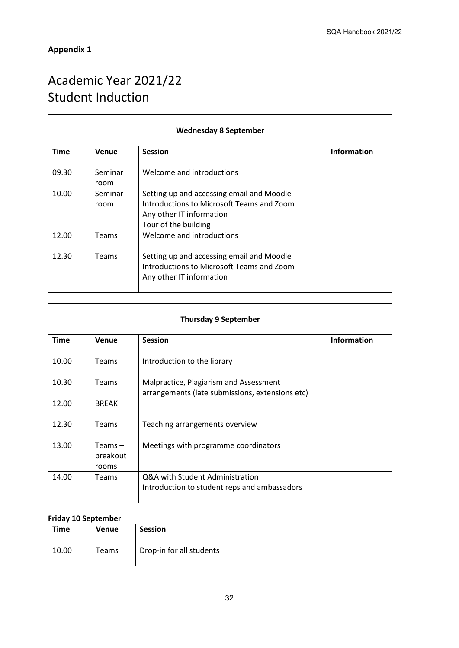## **Appendix 1**

 $\overline{a}$ 

# Academic Year 2021/22 Student Induction

| <b>Wednesday 8 September</b> |                 |                                                                                                                                            |                    |  |
|------------------------------|-----------------|--------------------------------------------------------------------------------------------------------------------------------------------|--------------------|--|
| <b>Time</b>                  | Venue           | <b>Session</b>                                                                                                                             | <b>Information</b> |  |
| 09.30                        | Seminar<br>room | Welcome and introductions                                                                                                                  |                    |  |
| 10.00                        | Seminar<br>room | Setting up and accessing email and Moodle<br>Introductions to Microsoft Teams and Zoom<br>Any other IT information<br>Tour of the building |                    |  |
| 12.00                        | Teams           | Welcome and introductions                                                                                                                  |                    |  |
| 12.30                        | <b>Teams</b>    | Setting up and accessing email and Moodle<br>Introductions to Microsoft Teams and Zoom<br>Any other IT information                         |                    |  |

| <b>Thursday 9 September</b> |                              |                                                                                           |                    |  |
|-----------------------------|------------------------------|-------------------------------------------------------------------------------------------|--------------------|--|
| <b>Time</b>                 | Venue                        | <b>Session</b>                                                                            | <b>Information</b> |  |
| 10.00                       | <b>Teams</b>                 | Introduction to the library                                                               |                    |  |
| 10.30                       | Teams                        | Malpractice, Plagiarism and Assessment<br>arrangements (late submissions, extensions etc) |                    |  |
| 12.00                       | <b>BREAK</b>                 |                                                                                           |                    |  |
| 12.30                       | Teams                        | Teaching arrangements overview                                                            |                    |  |
| 13.00                       | Teams –<br>breakout<br>rooms | Meetings with programme coordinators                                                      |                    |  |
| 14.00                       | <b>Teams</b>                 | Q&A with Student Administration<br>Introduction to student reps and ambassadors           |                    |  |

## **Friday 10 September**

| <b>Time</b> | <b>Venue</b> | <b>Session</b>           |
|-------------|--------------|--------------------------|
| 10.00       | Teams        | Drop-in for all students |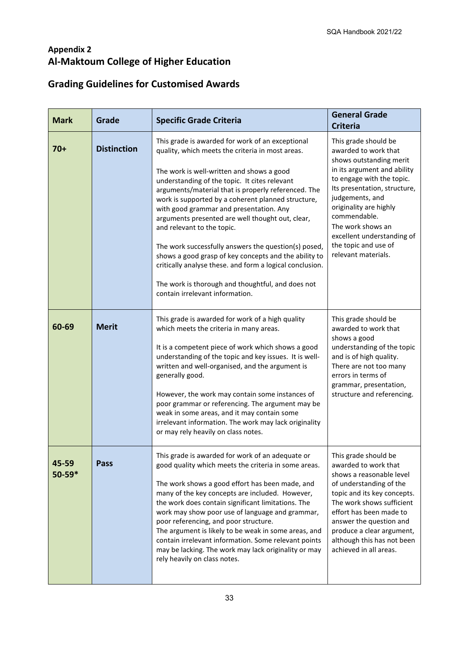# **Appendix 2 Al-Maktoum College of Higher Education**

# **Grading Guidelines for Customised Awards**

| <b>Mark</b>         | Grade              | <b>Specific Grade Criteria</b>                                                                                                                                                                                                                                                                                                                                                                                                                                                                                                                                                                                                                                                                                                                                                                                                                                                         | <b>General Grade</b><br><b>Criteria</b>                                                                                                                                                                                                                                                                                            |  |
|---------------------|--------------------|----------------------------------------------------------------------------------------------------------------------------------------------------------------------------------------------------------------------------------------------------------------------------------------------------------------------------------------------------------------------------------------------------------------------------------------------------------------------------------------------------------------------------------------------------------------------------------------------------------------------------------------------------------------------------------------------------------------------------------------------------------------------------------------------------------------------------------------------------------------------------------------|------------------------------------------------------------------------------------------------------------------------------------------------------------------------------------------------------------------------------------------------------------------------------------------------------------------------------------|--|
| $70+$               | <b>Distinction</b> | This grade is awarded for work of an exceptional<br>quality, which meets the criteria in most areas.<br>The work is well-written and shows a good<br>understanding of the topic. It cites relevant<br>arguments/material that is properly referenced. The<br>work is supported by a coherent planned structure,<br>with good grammar and presentation. Any<br>arguments presented are well thought out, clear,<br>and relevant to the topic.<br>The work successfully answers the question(s) posed,<br>shows a good grasp of key concepts and the ability to<br>critically analyse these. and form a logical conclusion.<br>The work is thorough and thoughtful, and does not<br>contain irrelevant information.                                                                                                                                                                      | This grade should be<br>awarded to work that<br>shows outstanding merit<br>in its argument and ability<br>to engage with the topic.<br>Its presentation, structure,<br>judgements, and<br>originality are highly<br>commendable.<br>The work shows an<br>excellent understanding of<br>the topic and use of<br>relevant materials. |  |
| 60-69               | <b>Merit</b>       | This grade is awarded for work of a high quality<br>which meets the criteria in many areas.<br>It is a competent piece of work which shows a good<br>understanding of the topic and key issues. It is well-<br>written and well-organised, and the argument is<br>generally good.<br>However, the work may contain some instances of<br>poor grammar or referencing. The argument may be<br>weak in some areas, and it may contain some<br>irrelevant information. The work may lack originality<br>or may rely heavily on class notes.                                                                                                                                                                                                                                                                                                                                                | This grade should be<br>awarded to work that<br>shows a good<br>understanding of the topic<br>and is of high quality.<br>There are not too many<br>errors in terms of<br>grammar, presentation,<br>structure and referencing.                                                                                                      |  |
| 45-59<br>$50 - 59*$ | <b>Pass</b>        | This grade is awarded for work of an adequate or<br>This grade should be<br>awarded to work that<br>good quality which meets the criteria in some areas.<br>shows a reasonable level<br>The work shows a good effort has been made, and<br>of understanding of the<br>many of the key concepts are included. However,<br>topic and its key concepts.<br>the work does contain significant limitations. The<br>The work shows sufficient<br>effort has been made to<br>work may show poor use of language and grammar,<br>poor referencing, and poor structure.<br>answer the question and<br>The argument is likely to be weak in some areas, and<br>produce a clear argument,<br>contain irrelevant information. Some relevant points<br>although this has not been<br>achieved in all areas.<br>may be lacking. The work may lack originality or may<br>rely heavily on class notes. |                                                                                                                                                                                                                                                                                                                                    |  |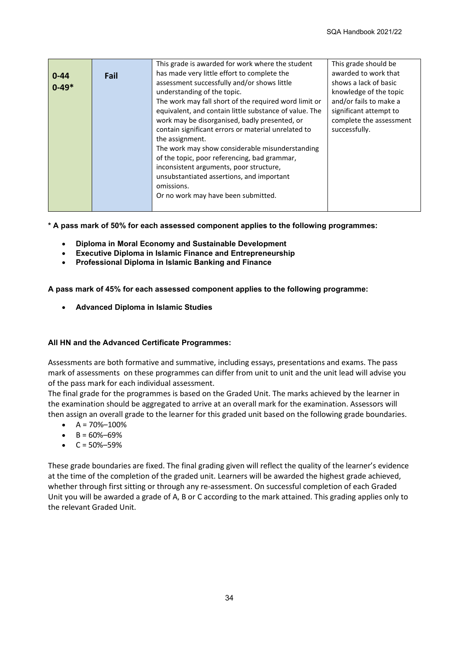|           |      | This grade is awarded for work where the student       | This grade should be    |
|-----------|------|--------------------------------------------------------|-------------------------|
| $0 - 44$  | Fail | has made very little effort to complete the            | awarded to work that    |
| $0 - 49*$ |      | assessment successfully and/or shows little            | shows a lack of basic   |
|           |      | understanding of the topic.                            | knowledge of the topic  |
|           |      | The work may fall short of the required word limit or  | and/or fails to make a  |
|           |      | equivalent, and contain little substance of value. The | significant attempt to  |
|           |      | work may be disorganised, badly presented, or          | complete the assessment |
|           |      | successfully.                                          |                         |
|           |      | the assignment.                                        |                         |
|           |      | The work may show considerable misunderstanding        |                         |
|           |      | of the topic, poor referencing, bad grammar,           |                         |
|           |      | inconsistent arguments, poor structure,                |                         |
|           |      | unsubstantiated assertions, and important              |                         |
|           |      | omissions.                                             |                         |
|           |      | Or no work may have been submitted.                    |                         |
|           |      |                                                        |                         |

**\* A pass mark of 50% for each assessed component applies to the following programmes:**

- **Diploma in Moral Economy and Sustainable Development**
- **Executive Diploma in Islamic Finance and Entrepreneurship**
- **Professional Diploma in Islamic Banking and Finance**

**A pass mark of 45% for each assessed component applies to the following programme:**

• **Advanced Diploma in Islamic Studies**

### **All HN and the Advanced Certificate Programmes:**

Assessments are both formative and summative, including essays, presentations and exams. The pass mark of assessments on these programmes can differ from unit to unit and the unit lead will advise you of the pass mark for each individual assessment.

The final grade for the programmes is based on the Graded Unit. The marks achieved by the learner in the examination should be aggregated to arrive at an overall mark for the examination. Assessors will then assign an overall grade to the learner for this graded unit based on the following grade boundaries.

- $A = 70\% 100\%$
- $-B = 60\% 69\%$
- $C = 50\% 59\%$

These grade boundaries are fixed. The final grading given will reflect the quality of the learner's evidence at the time of the completion of the graded unit. Learners will be awarded the highest grade achieved, whether through first sitting or through any re-assessment. On successful completion of each Graded Unit you will be awarded a grade of A, B or C according to the mark attained. This grading applies only to the relevant Graded Unit.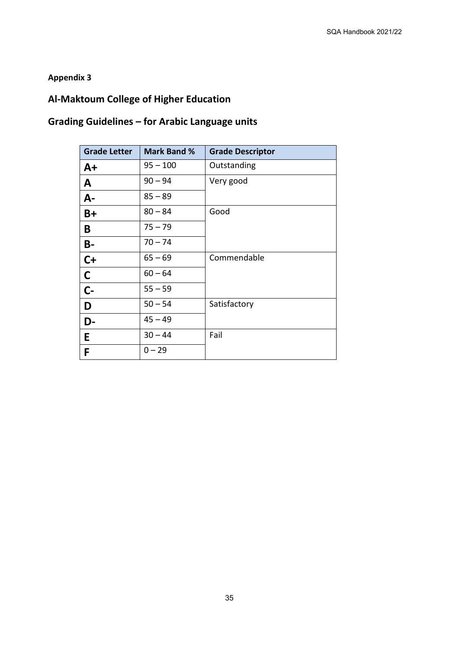## **Appendix 3**

# **Al-Maktoum College of Higher Education**

# **Grading Guidelines – for Arabic Language units**

| <b>Grade Letter</b> | <b>Mark Band %</b> | <b>Grade Descriptor</b> |
|---------------------|--------------------|-------------------------|
| $A+$                | $95 - 100$         | Outstanding             |
| $\mathbf{A}$        | $90 - 94$          | Very good               |
| $A -$               | $85 - 89$          |                         |
| $B+$                | $80 - 84$          | Good                    |
| B                   | $75 - 79$          |                         |
| <b>B-</b>           | $70 - 74$          |                         |
| $C+$                | $65 - 69$          | Commendable             |
| $\mathsf{C}$        | $60 - 64$          |                         |
| $C -$               | $55 - 59$          |                         |
| D                   | $50 - 54$          | Satisfactory            |
| D-                  | $45 - 49$          |                         |
| E                   | $30 - 44$          | Fail                    |
| F                   | $0 - 29$           |                         |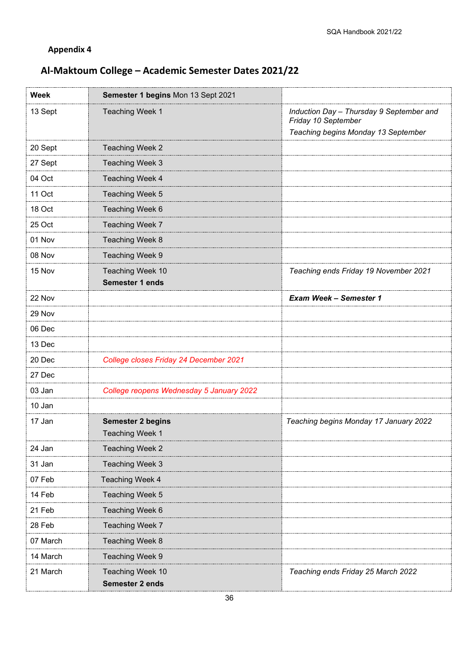# **Appendix 4**

# **Al-Maktoum College – Academic Semester Dates 2021/22**

| <b>Week</b> | Semester 1 begins Mon 13 Sept 2021          |                                                                                                        |
|-------------|---------------------------------------------|--------------------------------------------------------------------------------------------------------|
| 13 Sept     | Teaching Week 1                             | Induction Day - Thursday 9 September and<br>Friday 10 September<br>Teaching begins Monday 13 September |
| 20 Sept     | Teaching Week 2                             |                                                                                                        |
| 27 Sept     | Teaching Week 3                             |                                                                                                        |
| 04 Oct      | Teaching Week 4                             |                                                                                                        |
| 11 Oct      | Teaching Week 5                             |                                                                                                        |
| 18 Oct      | Teaching Week 6                             |                                                                                                        |
| 25 Oct      | Teaching Week 7                             |                                                                                                        |
| 01 Nov      | Teaching Week 8                             |                                                                                                        |
| 08 Nov      | Teaching Week 9                             |                                                                                                        |
| 15 Nov      | Teaching Week 10<br>Semester 1 ends         | Teaching ends Friday 19 November 2021                                                                  |
| 22 Nov      |                                             | <b>Exam Week - Semester 1</b>                                                                          |
| 29 Nov      |                                             |                                                                                                        |
| 06 Dec      |                                             |                                                                                                        |
| 13 Dec      |                                             |                                                                                                        |
| 20 Dec      | College closes Friday 24 December 2021      |                                                                                                        |
| 27 Dec      |                                             |                                                                                                        |
| 03 Jan      | College reopens Wednesday 5 January 2022    |                                                                                                        |
| 10 Jan      |                                             |                                                                                                        |
| 17 Jan      | <b>Semester 2 begins</b><br>Teaching Week 1 | Teaching begins Monday 17 January 2022                                                                 |
| 24 Jan      | Teaching Week 2                             |                                                                                                        |
| 31 Jan      | Teaching Week 3                             |                                                                                                        |
| 07 Feb      | Teaching Week 4                             |                                                                                                        |
| 14 Feb      | Teaching Week 5                             |                                                                                                        |
| 21 Feb      | Teaching Week 6                             |                                                                                                        |
| 28 Feb      | Teaching Week 7                             |                                                                                                        |
| 07 March    | Teaching Week 8                             |                                                                                                        |
| 14 March    | Teaching Week 9                             |                                                                                                        |
| 21 March    | Teaching Week 10<br>Semester 2 ends         | Teaching ends Friday 25 March 2022                                                                     |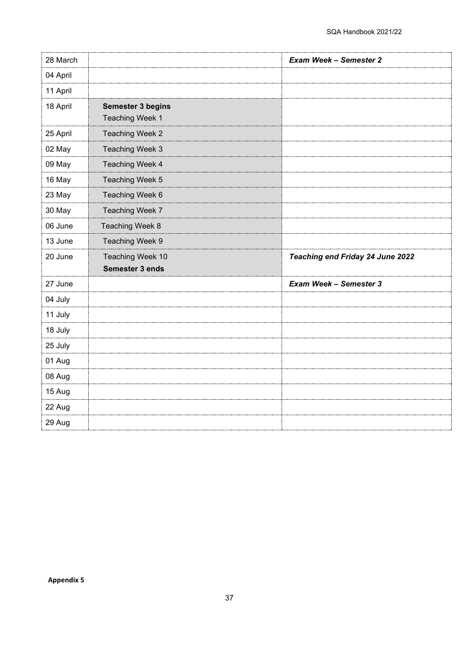| 28 March |                          | <b>Exam Week - Semester 2</b>    |
|----------|--------------------------|----------------------------------|
| 04 April |                          |                                  |
| 11 April |                          |                                  |
| 18 April | <b>Semester 3 begins</b> |                                  |
|          | Teaching Week 1          |                                  |
| 25 April | Teaching Week 2          |                                  |
| 02 May   | Teaching Week 3          |                                  |
| 09 May   | Teaching Week 4          |                                  |
| 16 May   | Teaching Week 5          |                                  |
| 23 May   | Teaching Week 6          |                                  |
| 30 May   | Teaching Week 7          |                                  |
| 06 June  | Teaching Week 8          |                                  |
| 13 June  | Teaching Week 9          |                                  |
| 20 June  | Teaching Week 10         | Teaching end Friday 24 June 2022 |
|          | Semester 3 ends          |                                  |
| 27 June  |                          | <b>Exam Week - Semester 3</b>    |
| 04 July  |                          |                                  |
| 11 July  |                          |                                  |
| 18 July  |                          |                                  |
| 25 July  |                          |                                  |
| 01 Aug   |                          |                                  |
| 08 Aug   |                          |                                  |
| 15 Aug   |                          |                                  |
| 22 Aug   |                          |                                  |
| 29 Aug   |                          |                                  |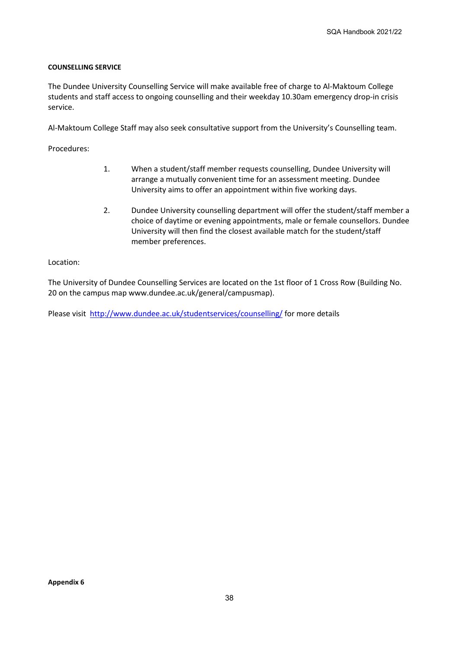## **COUNSELLING SERVICE**

The Dundee University Counselling Service will make available free of charge to Al-Maktoum College students and staff access to ongoing counselling and their weekday 10.30am emergency drop-in crisis service.

Al-Maktoum College Staff may also seek consultative support from the University's Counselling team.

Procedures:

- 1. When a student/staff member requests counselling, Dundee University will arrange a mutually convenient time for an assessment meeting. Dundee University aims to offer an appointment within five working days.
- 2. Dundee University counselling department will offer the student/staff member a choice of daytime or evening appointments, male or female counsellors. Dundee University will then find the closest available match for the student/staff member preferences.

Location:

The University of Dundee Counselling Services are located on the 1st floor of 1 Cross Row (Building No. 20 on the campus map www.dundee.ac.uk/general/campusmap).

Please visit<http://www.dundee.ac.uk/studentservices/counselling/> for more details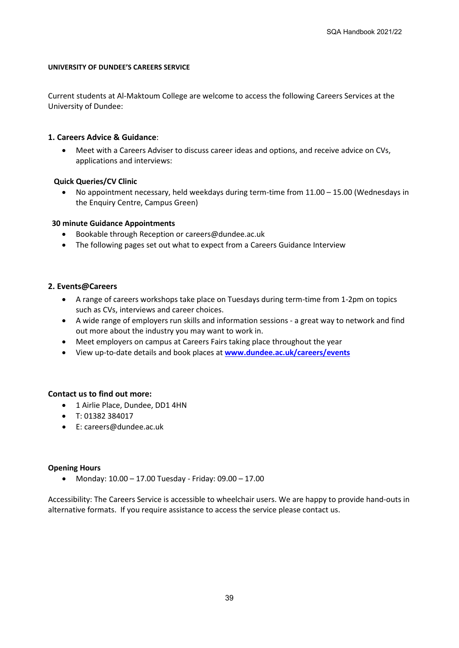### **UNIVERSITY OF DUNDEE'S CAREERS SERVICE**

Current students at Al-Maktoum College are welcome to access the following Careers Services at the University of Dundee:

#### **1. Careers Advice & Guidance**:

• Meet with a Careers Adviser to discuss career ideas and options, and receive advice on CVs, applications and interviews:

#### **Quick Queries/CV Clinic**

• No appointment necessary, held weekdays during term-time from 11.00 – 15.00 (Wednesdays in the Enquiry Centre, Campus Green)

#### **30 minute Guidance Appointments**

- Bookable through Reception or careers@dundee.ac.uk
- The following pages set out what to expect from a Careers Guidance Interview

#### **2. Events@Careers**

- A range of careers workshops take place on Tuesdays during term-time from 1-2pm on topics such as CVs, interviews and career choices.
- A wide range of employers run skills and information sessions a great way to network and find out more about the industry you may want to work in.
- Meet employers on campus at Careers Fairs taking place throughout the year
- View up-to-date details and book places at **[www.dundee.ac.uk/careers/events](http://www.dundee.ac.uk/careers/events)**

#### **Contact us to find out more:**

- 1 Airlie Place, Dundee, DD1 4HN
- T: 01382 384017
- E: careers@dundee.ac.uk

### **Opening Hours**

• Monday: 10.00 – 17.00 Tuesday - Friday: 09.00 – 17.00

Accessibility: The Careers Service is accessible to wheelchair users. We are happy to provide hand-outs in alternative formats. If you require assistance to access the service please contact us.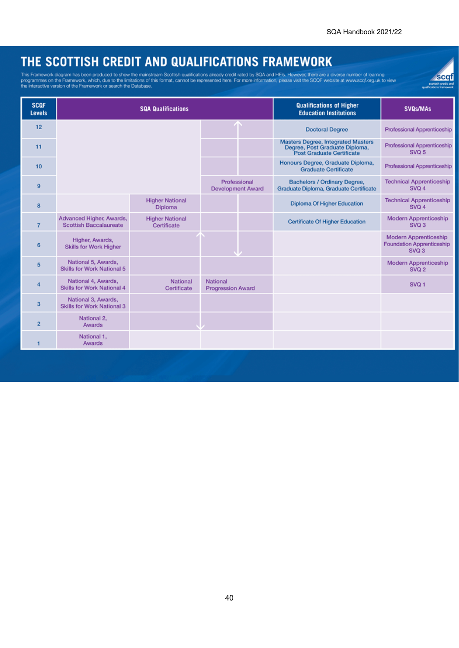scqf

# THE SCOTTISH CREDIT AND QUALIFICATIONS FRAMEWORK

This Framework diagram has been produced to show the mainstream Scottish qualifications already credit rated by SQA and HEIs. However, there are a diverse number of learning<br>programmes on the Framework, which, due to the l

| <b>SCQF</b><br><b>Levels</b> | <b>SQA Qualifications</b>                                 |                                          |                                          | <b>Qualifications of Higher</b><br><b>Education Institutions</b> | <b>SVQs/MAs</b>                                                                                                 |                                                                           |
|------------------------------|-----------------------------------------------------------|------------------------------------------|------------------------------------------|------------------------------------------------------------------|-----------------------------------------------------------------------------------------------------------------|---------------------------------------------------------------------------|
| 12                           |                                                           |                                          |                                          |                                                                  | <b>Doctoral Degree</b>                                                                                          | Professional Apprenticeship                                               |
| 11                           |                                                           |                                          |                                          |                                                                  | <b>Masters Degree, Integrated Masters</b><br>Degree, Post Graduate Diploma,<br><b>Post Graduate Certificate</b> | Professional Apprenticeship<br>SVQ 5                                      |
| 10                           |                                                           |                                          |                                          |                                                                  | Honours Degree, Graduate Diploma,<br><b>Graduate Certificate</b>                                                | Professional Apprenticeship                                               |
| 9                            |                                                           |                                          | Professional<br><b>Development Award</b> |                                                                  | <b>Bachelors / Ordinary Degree,</b><br>Graduate Diploma, Graduate Certificate                                   | <b>Technical Apprenticeship</b><br>SVQ 4                                  |
| 8                            |                                                           | <b>Higher National</b><br><b>Diploma</b> |                                          |                                                                  | <b>Diploma Of Higher Education</b>                                                                              | <b>Technical Apprenticeship</b><br>SVQ 4                                  |
| $\overline{7}$               | Advanced Higher, Awards,<br><b>Scottish Baccalaureate</b> | <b>Higher National</b><br>Certificate    |                                          |                                                                  | <b>Certificate Of Higher Education</b>                                                                          | <b>Modern Apprenticeship</b><br>SVQ 3                                     |
| 6                            | Higher, Awards,<br><b>Skills for Work Higher</b>          |                                          |                                          |                                                                  |                                                                                                                 | <b>Modern Apprenticeship</b><br><b>Foundation Apprenticeship</b><br>SVQ 3 |
| 5                            | National 5, Awards,<br><b>Skills for Work National 5</b>  |                                          |                                          |                                                                  |                                                                                                                 | <b>Modern Apprenticeship</b><br>SVQ <sub>2</sub>                          |
| 4                            | National 4, Awards,<br><b>Skills for Work National 4</b>  | National<br>Certificate                  | National<br><b>Progression Award</b>     |                                                                  |                                                                                                                 | SVQ <sub>1</sub>                                                          |
| 3                            | National 3, Awards,<br><b>Skills for Work National 3</b>  |                                          |                                          |                                                                  |                                                                                                                 |                                                                           |
| $\overline{2}$               | National 2,<br>Awards                                     |                                          |                                          |                                                                  |                                                                                                                 |                                                                           |
| 1                            | National 1,<br>Awards                                     |                                          |                                          |                                                                  |                                                                                                                 |                                                                           |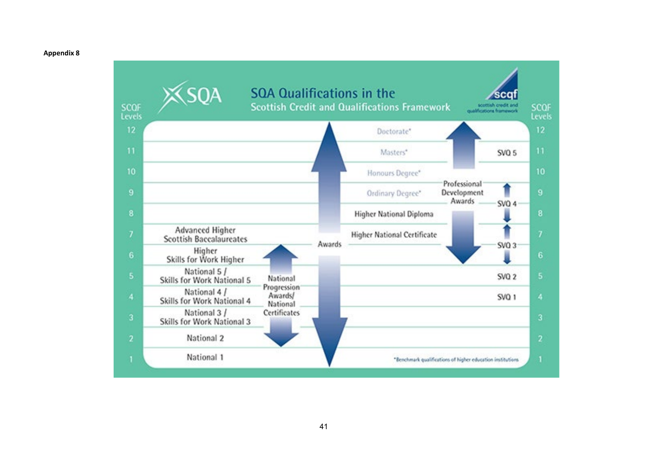#### **Appendix 8**

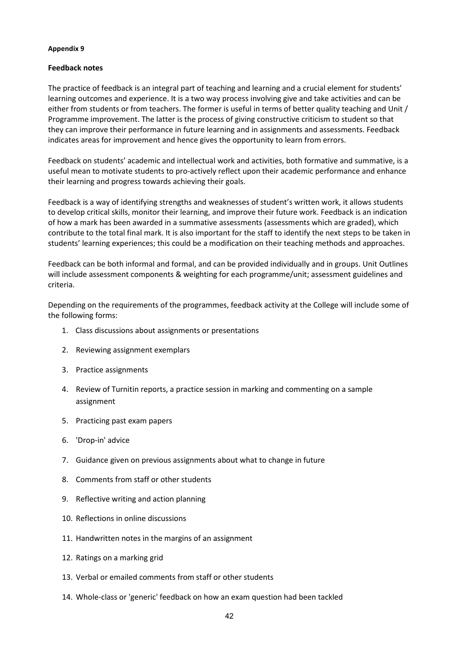#### **Appendix 9**

### **Feedback notes**

The practice of feedback is an integral part of teaching and learning and a crucial element for students' learning outcomes and experience. It is a two way process involving give and take activities and can be either from students or from teachers. The former is useful in terms of better quality teaching and Unit / Programme improvement. The latter is the process of giving constructive criticism to student so that they can improve their performance in future learning and in assignments and assessments. Feedback indicates areas for improvement and hence gives the opportunity to learn from errors.

Feedback on students' academic and intellectual work and activities, both formative and summative, is a useful mean to motivate students to pro-actively reflect upon their academic performance and enhance their learning and progress towards achieving their goals.

Feedback is a way of identifying strengths and weaknesses of student's written work, it allows students to develop critical skills, monitor their learning, and improve their future work. Feedback is an indication of how a mark has been awarded in a summative assessments (assessments which are graded), which contribute to the total final mark. It is also important for the staff to identify the next steps to be taken in students' learning experiences; this could be a modification on their teaching methods and approaches.

Feedback can be both informal and formal, and can be provided individually and in groups. Unit Outlines will include assessment components & weighting for each programme/unit; assessment guidelines and criteria.

Depending on the requirements of the programmes, feedback activity at the College will include some of the following forms:

- 1. Class discussions about assignments or presentations
- 2. Reviewing assignment exemplars
- 3. Practice assignments
- 4. Review of Turnitin reports, a practice session in marking and commenting on a sample assignment
- 5. Practicing past exam papers
- 6. 'Drop-in' advice
- 7. Guidance given on previous assignments about what to change in future
- 8. Comments from staff or other students
- 9. Reflective writing and action planning
- 10. Reflections in online discussions
- 11. Handwritten notes in the margins of an assignment
- 12. Ratings on a marking grid
- 13. Verbal or emailed comments from staff or other students
- 14. Whole-class or 'generic' feedback on how an exam question had been tackled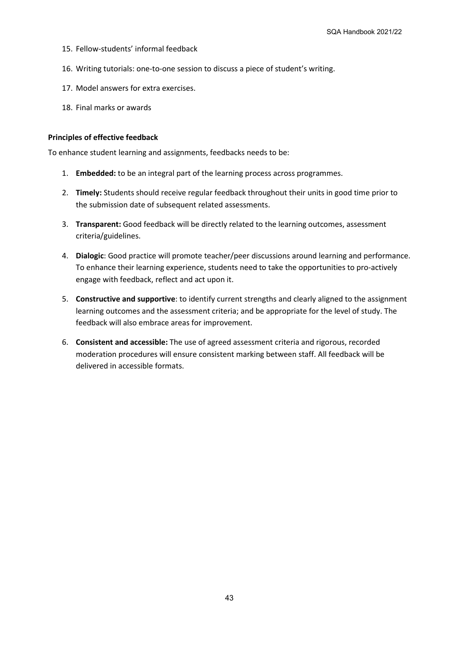- 15. Fellow-students' informal feedback
- 16. Writing tutorials: one-to-one session to discuss a piece of student's writing.
- 17. Model answers for extra exercises.
- 18. Final marks or awards

#### **Principles of effective feedback**

To enhance student learning and assignments, feedbacks needs to be:

- 1. **Embedded:** to be an integral part of the learning process across programmes.
- 2. **Timely:** Students should receive regular feedback throughout their units in good time prior to the submission date of subsequent related assessments.
- 3. **Transparent:** Good feedback will be directly related to the learning outcomes, assessment criteria/guidelines.
- 4. **Dialogic**: Good practice will promote teacher/peer discussions around learning and performance. To enhance their learning experience, students need to take the opportunities to pro-actively engage with feedback, reflect and act upon it.
- 5. **Constructive and supportive**: to identify current strengths and clearly aligned to the assignment learning outcomes and the assessment criteria; and be appropriate for the level of study. The feedback will also embrace areas for improvement.
- 6. **Consistent and accessible:** The use of agreed assessment criteria and rigorous, recorded moderation procedures will ensure consistent marking between staff. All feedback will be delivered in accessible formats.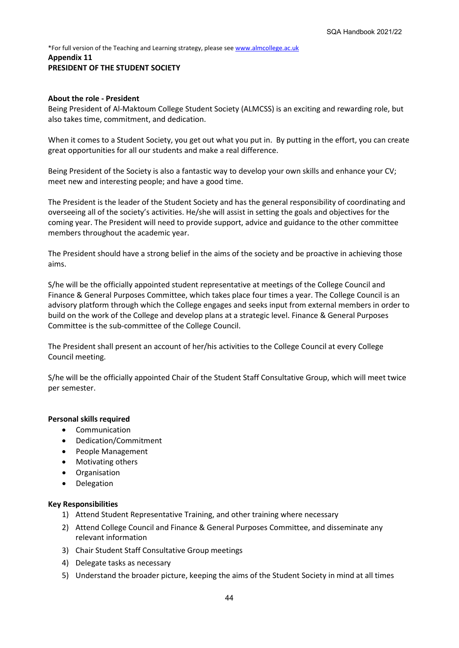#### \*For full version of the Teaching and Learning strategy, please se[e www.almcollege.ac.uk](http://www.almcollege.ac.uk/) **Appendix 11 PRESIDENT OF THE STUDENT SOCIETY**

#### **About the role - President**

Being President of Al-Maktoum College Student Society (ALMCSS) is an exciting and rewarding role, but also takes time, commitment, and dedication.

When it comes to a Student Society, you get out what you put in. By putting in the effort, you can create great opportunities for all our students and make a real difference.

Being President of the Society is also a fantastic way to develop your own skills and enhance your CV; meet new and interesting people; and have a good time.

The President is the leader of the Student Society and has the general responsibility of coordinating and overseeing all of the society's activities. He/she will assist in setting the goals and objectives for the coming year. The President will need to provide support, advice and guidance to the other committee members throughout the academic year.

The President should have a strong belief in the aims of the society and be proactive in achieving those aims.

S/he will be the officially appointed student representative at meetings of the College Council and Finance & General Purposes Committee, which takes place four times a year. The College Council is an advisory platform through which the College engages and seeks input from external members in order to build on the work of the College and develop plans at a strategic level. Finance & General Purposes Committee is the sub-committee of the College Council.

The President shall present an account of her/his activities to the College Council at every College Council meeting.

S/he will be the officially appointed Chair of the Student Staff Consultative Group, which will meet twice per semester.

### **Personal skills required**

- Communication
- Dedication/Commitment
- People Management
- Motivating others
- Organisation
- Delegation

#### **Key Responsibilities**

- 1) Attend Student Representative Training, and other training where necessary
- 2) Attend College Council and Finance & General Purposes Committee, and disseminate any relevant information
- 3) Chair Student Staff Consultative Group meetings
- 4) Delegate tasks as necessary
- 5) Understand the broader picture, keeping the aims of the Student Society in mind at all times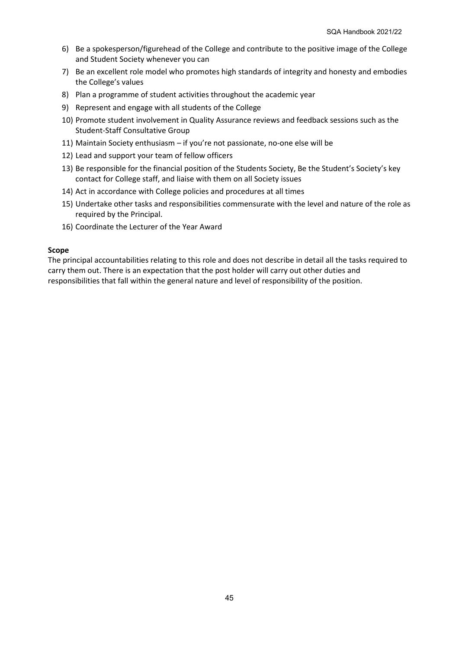- 6) Be a spokesperson/figurehead of the College and contribute to the positive image of the College and Student Society whenever you can
- 7) Be an excellent role model who promotes high standards of integrity and honesty and embodies the College's values
- 8) Plan a programme of student activities throughout the academic year
- 9) Represent and engage with all students of the College
- 10) Promote student involvement in Quality Assurance reviews and feedback sessions such as the Student-Staff Consultative Group
- 11) Maintain Society enthusiasm if you're not passionate, no-one else will be
- 12) Lead and support your team of fellow officers
- 13) Be responsible for the financial position of the Students Society, Be the Student's Society's key contact for College staff, and liaise with them on all Society issues
- 14) Act in accordance with College policies and procedures at all times
- 15) Undertake other tasks and responsibilities commensurate with the level and nature of the role as required by the Principal.
- 16) Coordinate the Lecturer of the Year Award

### **Scope**

The principal accountabilities relating to this role and does not describe in detail all the tasks required to carry them out. There is an expectation that the post holder will carry out other duties and responsibilities that fall within the general nature and level of responsibility of the position.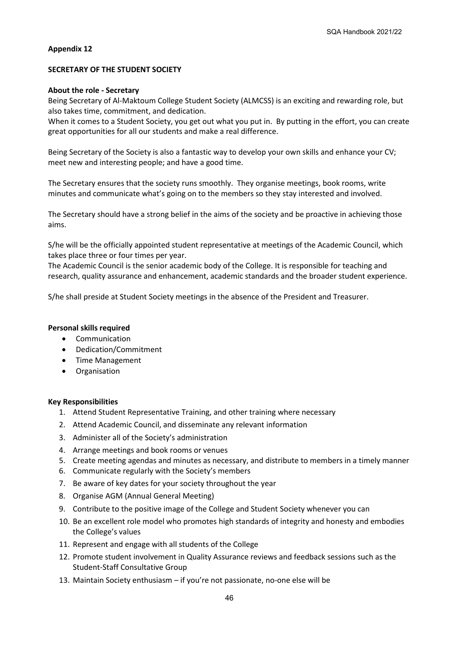#### **Appendix 12**

#### **SECRETARY OF THE STUDENT SOCIETY**

#### **About the role - Secretary**

Being Secretary of Al-Maktoum College Student Society (ALMCSS) is an exciting and rewarding role, but also takes time, commitment, and dedication.

When it comes to a Student Society, you get out what you put in. By putting in the effort, you can create great opportunities for all our students and make a real difference.

Being Secretary of the Society is also a fantastic way to develop your own skills and enhance your CV; meet new and interesting people; and have a good time.

The Secretary ensures that the society runs smoothly. They organise meetings, book rooms, write minutes and communicate what's going on to the members so they stay interested and involved.

The Secretary should have a strong belief in the aims of the society and be proactive in achieving those aims.

S/he will be the officially appointed student representative at meetings of the Academic Council, which takes place three or four times per year.

The Academic Council is the senior academic body of the College. It is responsible for teaching and research, quality assurance and enhancement, academic standards and the broader student experience.

S/he shall preside at Student Society meetings in the absence of the President and Treasurer.

#### **Personal skills required**

- Communication
- Dedication/Commitment
- Time Management
- Organisation

#### **Key Responsibilities**

- 1. Attend Student Representative Training, and other training where necessary
- 2. Attend Academic Council, and disseminate any relevant information
- 3. Administer all of the Society's administration
- 4. Arrange meetings and book rooms or venues
- 5. Create meeting agendas and minutes as necessary, and distribute to members in a timely manner
- 6. Communicate regularly with the Society's members
- 7. Be aware of key dates for your society throughout the year
- 8. Organise AGM (Annual General Meeting)
- 9. Contribute to the positive image of the College and Student Society whenever you can
- 10. Be an excellent role model who promotes high standards of integrity and honesty and embodies the College's values
- 11. Represent and engage with all students of the College
- 12. Promote student involvement in Quality Assurance reviews and feedback sessions such as the Student-Staff Consultative Group
- 13. Maintain Society enthusiasm if you're not passionate, no-one else will be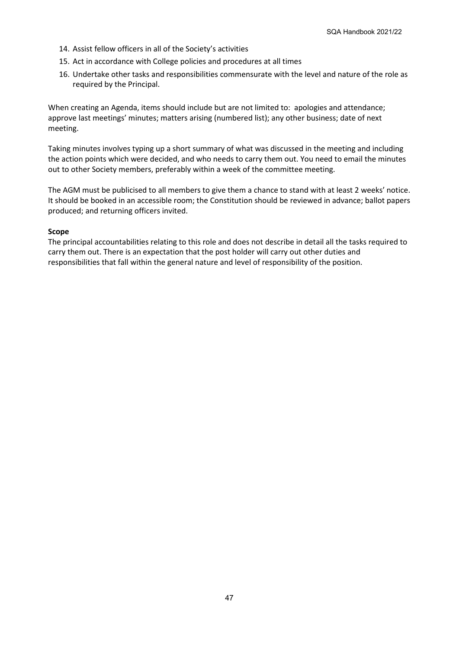- 14. Assist fellow officers in all of the Society's activities
- 15. Act in accordance with College policies and procedures at all times
- 16. Undertake other tasks and responsibilities commensurate with the level and nature of the role as required by the Principal.

When creating an Agenda, items should include but are not limited to: apologies and attendance; approve last meetings' minutes; matters arising (numbered list); any other business; date of next meeting.

Taking minutes involves typing up a short summary of what was discussed in the meeting and including the action points which were decided, and who needs to carry them out. You need to email the minutes out to other Society members, preferably within a week of the committee meeting.

The AGM must be publicised to all members to give them a chance to stand with at least 2 weeks' notice. It should be booked in an accessible room; the Constitution should be reviewed in advance; ballot papers produced; and returning officers invited.

### **Scope**

The principal accountabilities relating to this role and does not describe in detail all the tasks required to carry them out. There is an expectation that the post holder will carry out other duties and responsibilities that fall within the general nature and level of responsibility of the position.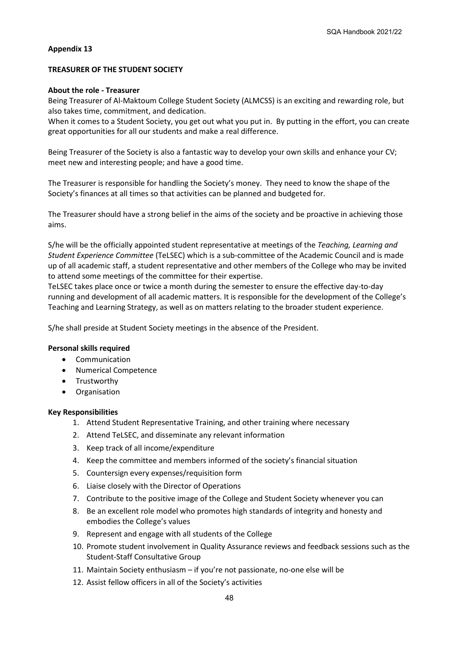#### **Appendix 13**

#### **TREASURER OF THE STUDENT SOCIETY**

#### **About the role - Treasurer**

Being Treasurer of Al-Maktoum College Student Society (ALMCSS) is an exciting and rewarding role, but also takes time, commitment, and dedication.

When it comes to a Student Society, you get out what you put in. By putting in the effort, you can create great opportunities for all our students and make a real difference.

Being Treasurer of the Society is also a fantastic way to develop your own skills and enhance your CV; meet new and interesting people; and have a good time.

The Treasurer is responsible for handling the Society's money. They need to know the shape of the Society's finances at all times so that activities can be planned and budgeted for.

The Treasurer should have a strong belief in the aims of the society and be proactive in achieving those aims.

S/he will be the officially appointed student representative at meetings of the *Teaching, Learning and Student Experience Committee* (TeLSEC) which is a sub-committee of the Academic Council and is made up of all academic staff, a student representative and other members of the College who may be invited to attend some meetings of the committee for their expertise.

TeLSEC takes place once or twice a month during the semester to ensure the effective day-to-day running and development of all academic matters. It is responsible for the development of the College's Teaching and Learning Strategy, as well as on matters relating to the broader student experience.

S/he shall preside at Student Society meetings in the absence of the President.

#### **Personal skills required**

- Communication
- Numerical Competence
- Trustworthy
- Organisation

#### **Key Responsibilities**

- 1. Attend Student Representative Training, and other training where necessary
- 2. Attend TeLSEC, and disseminate any relevant information
- 3. Keep track of all income/expenditure
- 4. Keep the committee and members informed of the society's financial situation
- 5. Countersign every expenses/requisition form
- 6. Liaise closely with the Director of Operations
- 7. Contribute to the positive image of the College and Student Society whenever you can
- 8. Be an excellent role model who promotes high standards of integrity and honesty and embodies the College's values
- 9. Represent and engage with all students of the College
- 10. Promote student involvement in Quality Assurance reviews and feedback sessions such as the Student-Staff Consultative Group
- 11. Maintain Society enthusiasm if you're not passionate, no-one else will be
- 12. Assist fellow officers in all of the Society's activities